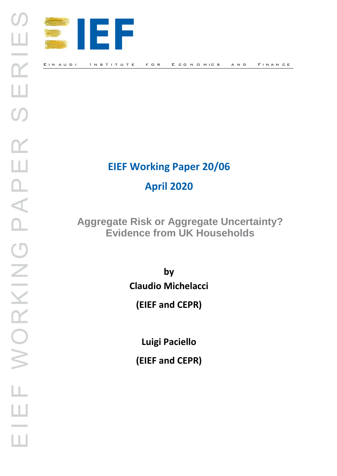

# **EIEF Working Paper 20/06 April 2020**

**Aggregate Risk or Aggregate Uncertainty? Evidence from UK Households**

> **by Claudio Michelacci**

**(EIEF and CEPR)**

**Luigi Paciello**

**(EIEF and CEPR)**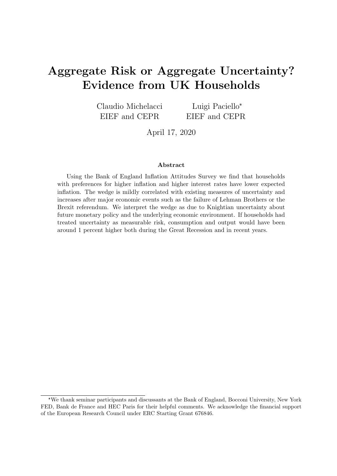# <span id="page-1-0"></span>Aggregate Risk or Aggregate Uncertainty? Evidence from UK Households

Claudio Michelacci EIEF and CEPR Luigi Paciello\* EIEF and CEPR

April 17, 2020

#### Abstract

Using the Bank of England Inflation Attitudes Survey we find that households with preferences for higher inflation and higher interest rates have lower expected inflation. The wedge is mildly correlated with existing measures of uncertainty and increases after major economic events such as the failure of Lehman Brothers or the Brexit referendum. We interpret the wedge as due to Knightian uncertainty about future monetary policy and the underlying economic environment. If households had treated uncertainty as measurable risk, consumption and output would have been around 1 percent higher both during the Great Recession and in recent years.

<sup>\*</sup>We thank seminar participants and discussants at the Bank of England, Bocconi University, New York FED, Bank de France and HEC Paris for their helpful comments. We acknowledge the financial support of the European Research Council under ERC Starting Grant 676846.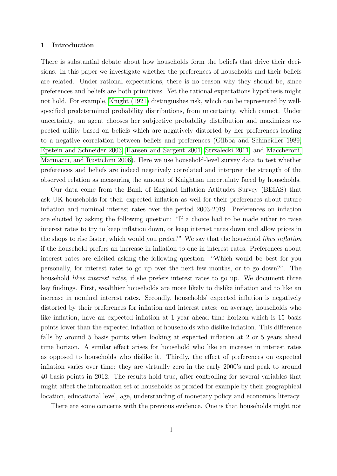#### 1 Introduction

There is substantial debate about how households form the beliefs that drive their decisions. In this paper we investigate whether the preferences of households and their beliefs are related. Under rational expectations, there is no reason why they should be, since preferences and beliefs are both primitives. Yet the rational expectations hypothesis might not hold. For example, [Knight \(1921\)](#page-40-0) distinguishes risk, which can be represented by wellspecified predetermined probability distributions, from uncertainty, which cannot. Under uncertainty, an agent chooses her subjective probability distribution and maximizes expected utility based on beliefs which are negatively distorted by her preferences leading to a negative correlation between beliefs and preferences [\(Gilboa and Schmeidler 1989,](#page-40-1) [Epstein and Schneider 2003,](#page-39-0) [Hansen and Sargent 2001,](#page-40-2) [Strzalecki 2011,](#page-41-0) and [Maccheroni,](#page-41-1) [Marinacci, and Rustichini 2006\)](#page-41-1). Here we use household-level survey data to test whether preferences and beliefs are indeed negatively correlated and interpret the strength of the observed relation as measuring the amount of Knightian uncertainty faced by households.

Our data come from the Bank of England Inflation Attitudes Survey (BEIAS) that ask UK households for their expected inflation as well for their preferences about future inflation and nominal interest rates over the period 2003-2019. Preferences on inflation are elicited by asking the following question: "If a choice had to be made either to raise interest rates to try to keep inflation down, or keep interest rates down and allow prices in the shops to rise faster, which would you prefer?" We say that the household likes inflation if the household prefers an increase in inflation to one in interest rates. Preferences about interest rates are elicited asking the following question: "Which would be best for you personally, for interest rates to go up over the next few months, or to go down?". The household *likes interest rates*, if she prefers interest rates to go up. We document three key findings. First, wealthier households are more likely to dislike inflation and to like an increase in nominal interest rates. Secondly, households' expected inflation is negatively distorted by their preferences for inflation and interest rates: on average, households who like inflation, have an expected inflation at 1 year ahead time horizon which is 15 basis points lower than the expected inflation of households who dislike inflation. This difference falls by around 5 basis points when looking at expected inflation at 2 or 5 years ahead time horizon. A similar effect arises for household who like an increase in interest rates as opposed to households who dislike it. Thirdly, the effect of preferences on expected inflation varies over time: they are virtually zero in the early 2000's and peak to around 40 basis points in 2012. The results hold true, after controlling for several variables that might affect the information set of households as proxied for example by their geographical location, educational level, age, understanding of monetary policy and economics literacy.

There are some concerns with the previous evidence. One is that households might not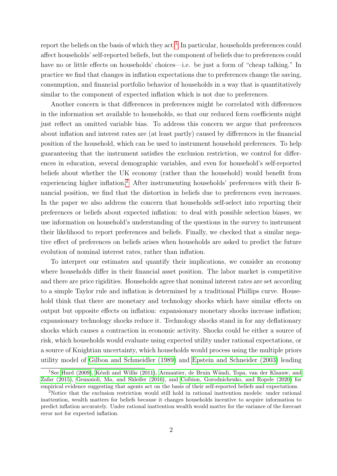report the beliefs on the basis of which they  $act<sup>1</sup>$  $act<sup>1</sup>$  $act<sup>1</sup>$ . In particular, households preferences could affect households' self-reported beliefs, but the component of beliefs due to preferences could have no or little effects on households' choices—i.e. be just a form of "cheap talking." In practice we find that changes in inflation expectations due to preferences change the saving, consumption, and financial portfolio behavior of households in a way that is quantitatively similar to the component of expected inflation which is not due to preferences.

Another concern is that differences in preferences might be correlated with differences in the information set available to households, so that our reduced form coefficients might just reflect an omitted variable bias. To address this concern we argue that preferences about inflation and interest rates are (at least partly) caused by differences in the financial position of the household, which can be used to instrument household preferences. To help guaranteeing that the instrument satisfies the exclusion restriction, we control for differences in education, several demographic variables, and even for household's self-reported beliefs about whether the UK economy (rather than the household) would benefit from experiencing higher inflation.[2](#page-1-0) After instrumenting households' preferences with their financial position, we find that the distortion in beliefs due to preferences even increases. In the paper we also address the concern that households self-select into reporting their preferences or beliefs about expected inflation: to deal with possible selection biases, we use information on household's understanding of the questions in the survey to instrument their likelihood to report preferences and beliefs. Finally, we checked that a similar negative effect of preferences on beliefs arises when households are asked to predict the future evolution of nominal interest rates, rather than inflation.

To interpret our estimates and quantify their implications, we consider an economy where households differ in their financial asset position. The labor market is competitive and there are price rigidities. Households agree that nominal interest rates are set according to a simple Taylor rule and inflation is determined by a traditional Phillips curve. Household think that there are monetary and technology shocks which have similar effects on output but opposite effects on inflation: expansionary monetary shocks increase inflation; expansionary technology shocks reduce it. Technology shocks stand in for any deflationary shocks which causes a contraction in economic activity. Shocks could be either a source of risk, which households would evaluate using expected utility under rational expectations, or a source of Knightian uncertainty, which households would process using the multiple priors utility model of [Gilboa and Schmeidler \(1989\)](#page-40-1) and [Epstein and Schneider \(2003\)](#page-39-0) leading

<sup>&</sup>lt;sup>1</sup>See [Hurd \(2009\)](#page-40-3), Kézdi and Willis (2011), Armantier, de Bruin Wändi, Topa, van der Klaauw, and [Zafar \(2015\)](#page-39-1), [Gennaioli, Ma, and Shleifer \(2016\)](#page-40-5), and [Coibion, Gorodnichenko, and Ropele \(2020\)](#page-39-2) for empirical evidence suggesting that agents act on the basis of their self-reported beliefs and expectations.

<sup>2</sup>Notice that the exclusion restriction would still hold in rational inattention models: under rational inattention, wealth matters for beliefs because it changes households incentive to acquire information to predict inflation accurately. Under rational inattention wealth would matter for the variance of the forecast error not for expected inflation.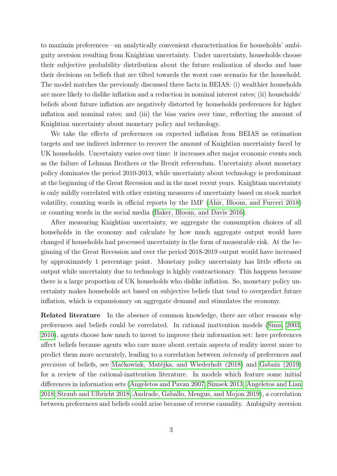to maximin preferences—an analytically convenient characterization for households' ambiguity aversion resulting from Knightian uncertainty. Under uncertainty, households choose their subjective probability distribution about the future realization of shocks and base their decisions on beliefs that are tilted towards the worst case scenario for the household. The model matches the previously discussed three facts in BEIAS: (i) wealthier households are more likely to dislike inflation and a reduction in nominal interest rates; (ii) households' beliefs about future inflation are negatively distorted by households preferences for higher inflation and nominal rates; and (iii) the bias varies over time, reflecting the amount of Knightian uncertainty about monetary policy and technology.

We take the effects of preferences on expected inflation from BEIAS as estimation targets and use indirect inference to recover the amount of Knightian uncertainty faced by UK households. Uncertainty varies over time: it increases after major economic events such as the failure of Lehman Brothers or the Brexit referendum. Uncertainty about monetary policy dominates the period 2010-2013, while uncertainty about technology is predominant at the beginning of the Great Recession and in the most recent years. Knightian uncertainty is only mildly correlated with other existing measures of uncertainty based on stock market volatility, counting words in official reports by the IMF [\(Ahir, Bloom, and Furceri 2018\)](#page-39-3) or counting words in the social media [\(Baker, Bloom, and Davis 2016\)](#page-39-4).

After measuring Knightian uncertainty, we aggregate the consumption choices of all households in the economy and calculate by how much aggregate output would have changed if households had processed uncertainty in the form of measurable risk. At the beginning of the Great Recession and over the period 2018-2019 output would have increased by approximately 1 percentage point. Monetary policy uncertainty has little effects on output while uncertainty due to technology is highly contractionary. This happens because there is a large proportion of UK households who dislike inflation. So, monetary policy uncertainty makes households act based on subjective beliefs that tend to overpredict future inflation, which is expansionary on aggregate demand and stimulates the economy.

Related literature In the absence of common knowledge, there are other reasons why preferences and beliefs could be correlated. In rational inattention models [\(Sims, 2003,](#page-41-2) [2010\)](#page-41-3), agents choose how much to invest to improve their information set: here preferences affect beliefs because agents who care more about certain aspects of reality invest more to predict them more accurately, leading to a correlation between intensity of preferences and precision of beliefs, see Mackowiak, Matějka, and Wiederholt (2018) and [Gabaix \(2019\)](#page-40-6) for a review of the rational-inattention literature. In models which feature some initial differences in information sets [\(Angeletos and Pavan 2007,](#page-39-5) [Simsek 2013,](#page-41-5) [Angeletos and Lian](#page-39-6) [2018,](#page-39-6) [Straub and Ulbricht 2018,](#page-41-6) [Andrade, Gaballo, Mengus, and Mojon 2019\)](#page-39-7), a correlation between preferences and beliefs could arise because of reverse causality. Ambiguity aversion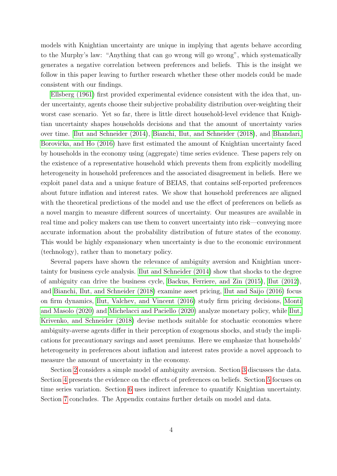models with Knightian uncertainty are unique in implying that agents behave according to the Murphy's law: "Anything that can go wrong will go wrong", which systematically generates a negative correlation between preferences and beliefs. This is the insight we follow in this paper leaving to further research whether these other models could be made consistent with our findings.

[Ellsberg \(1961\)](#page-39-8) first provided experimental evidence consistent with the idea that, under uncertainty, agents choose their subjective probability distribution over-weighting their worst case scenario. Yet so far, there is little direct household-level evidence that Knightian uncertainty shapes households decisions and that the amount of uncertainty varies over time. [Ilut and Schneider \(2014\)](#page-40-7), [Bianchi, Ilut, and Schneider \(2018\)](#page-39-9), and [Bhandari,](#page-39-10) Borovička, and Ho (2016) have first estimated the amount of Knightian uncertainty faced by households in the economy using (aggregate) time series evidence. These papers rely on the existence of a representative household which prevents them from explicitly modelling heterogeneity in household preferences and the associated disagreement in beliefs. Here we exploit panel data and a unique feature of BEIAS, that contains self-reported preferences about future inflation and interest rates. We show that household preferences are aligned with the theoretical predictions of the model and use the effect of preferences on beliefs as a novel margin to measure different sources of uncertainty. Our measures are available in real time and policy makers can use them to convert uncertainty into risk—conveying more accurate information about the probability distribution of future states of the economy. This would be highly expansionary when uncertainty is due to the economic environment (technology), rather than to monetary policy.

Several papers have shown the relevance of ambiguity aversion and Knightian uncertainty for business cycle analysis. [Ilut and Schneider \(2014\)](#page-40-7) show that shocks to the degree of ambiguity can drive the business cycle, [Backus, Ferriere, and Zin \(2015\)](#page-39-11), [Ilut \(2012\)](#page-40-8), and [Bianchi, Ilut, and Schneider \(2018\)](#page-39-9) examine asset pricing, [Ilut and Saijo \(2016\)](#page-40-9) focus on firm dynamics, [Ilut, Valchev, and Vincent \(2016\)](#page-40-10) study firm pricing decisions, [Monti](#page-41-7) [and Masolo \(2020\)](#page-41-7) and [Michelacci and Paciello \(2020\)](#page-41-8) analyze monetary policy, while [Ilut,](#page-40-11) [Krivenko, and Schneider \(2018\)](#page-40-11) devise methods suitable for stochastic economies where ambiguity-averse agents differ in their perception of exogenous shocks, and study the implications for precautionary savings and asset premiums. Here we emphasize that households' heterogeneity in preferences about inflation and interest rates provide a novel approach to measure the amount of uncertainty in the economy.

Section [2](#page-6-0) considers a simple model of ambiguity aversion. Section [3](#page-10-0) discusses the data. Section [4](#page-19-0) presents the evidence on the effects of preferences on beliefs. Section [5](#page-30-0) focuses on time series variation. Section [6](#page-32-0) uses indirect inference to quantify Knightian uncertainty. Section [7](#page-37-0) concludes. The Appendix contains further details on model and data.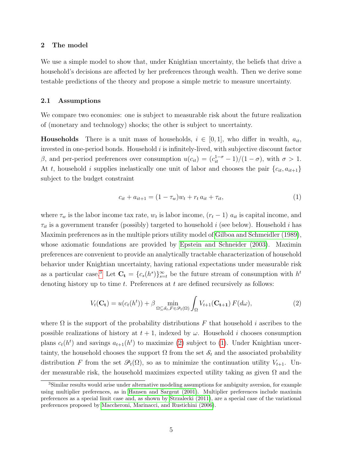#### <span id="page-6-0"></span>2 The model

We use a simple model to show that, under Knightian uncertainty, the beliefs that drive a household's decisions are affected by her preferences through wealth. Then we derive some testable predictions of the theory and propose a simple metric to measure uncertainty.

#### 2.1 Assumptions

We compare two economies: one is subject to measurable risk about the future realization of (monetary and technology) shocks; the other is subject to uncertainty.

**Households** There is a unit mass of households,  $i \in [0, 1]$ , who differ in wealth,  $a_{it}$ . invested in one-period bonds. Household  $i$  is infinitely-lived, with subjective discount factor β, and per-period preferences over consumption  $u(c_{it}) = (c_{it}^{1-\sigma} - 1)/(1-\sigma)$ , with  $\sigma > 1$ . At t, household i supplies inelastically one unit of labor and chooses the pair  ${c_{it}, a_{it+1}}$ subject to the budget constraint

<span id="page-6-2"></span><span id="page-6-1"></span>
$$
c_{it} + a_{it+1} = (1 - \tau_w)w_t + r_t a_{it} + \tau_{it}, \tag{1}
$$

where  $\tau_w$  is the labor income tax rate,  $w_t$  is labor income,  $(r_t - 1)$   $a_{it}$  is capital income, and  $\tau_{it}$  is a government transfer (possibly) targeted to household i (see below). Household i has Maximin preferences as in the multiple priors utility model of [Gilboa and Schmeidler \(1989\)](#page-40-1), whose axiomatic foundations are provided by [Epstein and Schneider \(2003\)](#page-39-0). Maximin preferences are convenient to provide an analytically tractable characterization of household behavior under Knightian uncertainty, having rational expectations under measurable risk as a particular case.<sup>[3](#page-1-0)</sup> Let  $\mathbf{C_t} = \{c_s(h^s)\}_{s=t}^{\infty}$  be the future stream of consumption with  $h^t$ denoting history up to time  $t$ . Preferences at  $t$  are defined recursively as follows:

$$
V_t(\mathbf{C_t}) = u(c_t(h^t)) + \beta \min_{\Omega \subseteq \mathcal{S}_t, F \in \mathcal{P}_t(\Omega)} \int_{\Omega} V_{t+1}(\mathbf{C_{t+1}}) F(d\omega), \tag{2}
$$

where  $\Omega$  is the support of the probability distributions F that household i ascribes to the possible realizations of history at  $t + 1$ , indexed by  $\omega$ . Household i chooses consumption plans  $c_t(h^t)$  and savings  $a_{t+1}(h^t)$  to maximize [\(2\)](#page-6-1) subject to [\(1\)](#page-6-2). Under Knightian uncertainty, the household chooses the support  $\Omega$  from the set  $\mathcal{S}_t$  and the associated probability distribution F from the set  $\mathcal{P}_t(\Omega)$ , so as to minimize the continuation utility  $V_{t+1}$ . Under measurable risk, the household maximizes expected utility taking as given  $\Omega$  and the

<sup>3</sup>Similar results would arise under alternative modeling assumptions for ambiguity aversion, for example using multiplier preferences, as in [Hansen and Sargent \(2001\)](#page-40-2). Multiplier preferences include maximin preferences as a special limit case and, as shown by [Strzalecki \(2011\)](#page-41-0), are a special case of the variational preferences proposed by [Maccheroni, Marinacci, and Rustichini \(2006\)](#page-41-1).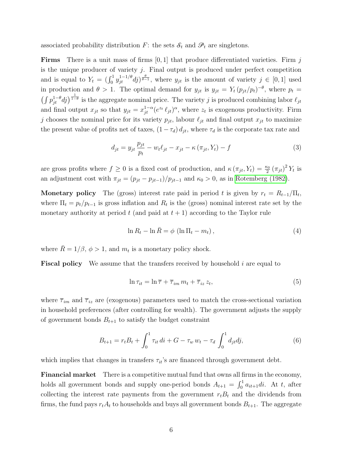associated probability distribution F: the sets  $S_t$  and  $\mathcal{P}_t$  are singletons.

**Firms** There is a unit mass of firms  $[0, 1]$  that produce differentiated varieties. Firm j is the unique producer of variety  $j$ . Final output is produced under perfect competition and is equal to  $Y_t = (\int_0^1 y_{jt}^{1-1/\theta} dy)^{\frac{\theta}{\theta-1}}$ , where  $y_{jt}$  is the amount of variety  $j \in [0,1]$  used in production and  $\theta > 1$ . The optimal demand for  $y_{jt}$  is  $y_{jt} = Y_t (p_{jt}/p_t)^{-\theta}$ , where  $p_t =$  $\left(\int p_{jt}^{1-\theta}dj\right)^{\frac{1}{1-\theta}}$  is the aggregate nominal price. The variety j is produced combining labor  $\ell_{jt}$ and final output  $x_{jt}$  so that  $y_{jt} = x_{jt}^{1-\alpha} (e^{z_t} \ell_{jt})^{\alpha}$ , where  $z_t$  is exogenous productivity. Firm j chooses the nominal price for its variety  $p_{jt}$ , labour  $\ell_{jt}$  and final output  $x_{jt}$  to maximize the present value of profits net of taxes,  $(1 - \tau_d) d_{it}$ , where  $\tau_d$  is the corporate tax rate and

<span id="page-7-2"></span>
$$
d_{jt} = y_{jt} \frac{p_{jt}}{p_t} - w_t \ell_{jt} - x_{jt} - \kappa (\pi_{jt}, Y_t) - f \tag{3}
$$

are gross profits where  $f \ge 0$  is a fixed cost of production, and  $\kappa (\pi_{jt}, Y_t) = \frac{\kappa_0}{2} (\pi_{jt})^2 Y_t$  is an adjustment cost with  $\pi_{jt} = (p_{jt} - p_{jt-1})/p_{jt-1}$  and  $\kappa_0 > 0$ , as in [Rotemberg \(1982\)](#page-41-9).

**Monetary policy** The (gross) interest rate paid in period t is given by  $r_t = R_{t-1}/\Pi_t$ , where  $\Pi_t = p_t / p_{t-1}$  is gross inflation and  $R_t$  is the (gross) nominal interest rate set by the monetary authority at period t (and paid at  $t + 1$ ) according to the Taylor rule

<span id="page-7-0"></span>
$$
\ln R_t - \ln \bar{R} = \phi \left( \ln \Pi_t - m_t \right),\tag{4}
$$

where  $\bar{R} = 1/\beta$ ,  $\phi > 1$ , and  $m_t$  is a monetary policy shock.

**Fiscal policy** We assume that the transfers received by household  $i$  are equal to

<span id="page-7-3"></span><span id="page-7-1"></span>
$$
\ln \tau_{it} = \ln \overline{\tau} + \overline{\tau}_{im} \, m_t + \overline{\tau}_{iz} \, z_t,\tag{5}
$$

where  $\bar{\tau}_{im}$  and  $\bar{\tau}_{iz}$  are (exogenous) parameters used to match the cross-sectional variation in household preferences (after controlling for wealth). The government adjusts the supply of government bonds  $B_{t+1}$  to satisfy the budget constraint

$$
B_{t+1} = r_t B_t + \int_0^1 \tau_{it} \, di + G - \tau_w \, w_t - \tau_d \int_0^1 d_{jt} d j, \tag{6}
$$

which implies that changes in transfers  $\tau_{it}$ 's are financed through government debt.

Financial market There is a competitive mutual fund that owns all firms in the economy, holds all government bonds and supply one-period bonds  $A_{t+1} = \int_0^1 a_{it+1}di$ . At t, after collecting the interest rate payments from the government  $r_tB_t$  and the dividends from firms, the fund pays  $r_t A_t$  to households and buys all government bonds  $B_{t+1}$ . The aggregate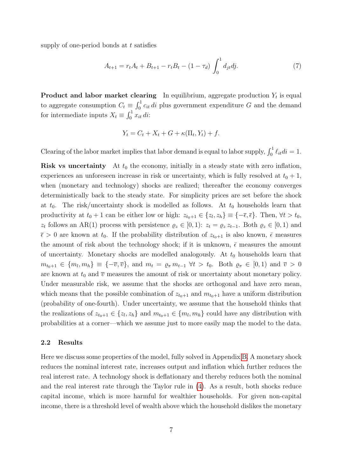supply of one-period bonds at  $t$  satisfies

<span id="page-8-0"></span>
$$
A_{t+1} = r_t A_t + B_{t+1} - r_t B_t - (1 - \tau_d) \int_0^1 d_{jt} d j. \tag{7}
$$

**Product and labor market clearing** In equilibrium, aggregate production  $Y_t$  is equal to aggregate consumption  $C_t \equiv \int_0^1 c_{it} \, di$  plus government expenditure G and the demand for intermediate inputs  $X_t \equiv \int_0^1 x_{it} \, di$ :

$$
Y_t = C_t + X_t + G + \kappa(\Pi_t, Y_t) + f.
$$

Clearing of the labor market implies that labor demand is equal to labor supply,  $\int_0^1 \ell_{it} di = 1$ .

**Risk vs uncertainty** At  $t_0$  the economy, initially in a steady state with zero inflation, experiences an unforeseen increase in risk or uncertainty, which is fully resolved at  $t_0 + 1$ , when (monetary and technology) shocks are realized; thereafter the economy converges deterministically back to the steady state. For simplicity prices are set before the shock at  $t_0$ . The risk/uncertainty shock is modelled as follows. At  $t_0$  households learn that productivity at  $t_0 + 1$  can be either low or high:  $z_{t_0+1} \in \{z_l, z_h\} \equiv \{-\overline{\epsilon}, \overline{\epsilon}\}\.$  Then,  $\forall t > t_0$ ,  $z_t$  follows an AR(1) process with persistence  $\varrho_z \in [0,1)$ :  $z_t = \varrho_z z_{t-1}$ . Both  $\varrho_z \in [0,1)$  and  $\bar{\epsilon} > 0$  are known at  $t_0$ . If the probability distribution of  $z_{t_0+1}$  is also known,  $\bar{\epsilon}$  measures the amount of risk about the technology shock; if it is unknown,  $\bar{\epsilon}$  measures the amount of uncertainty. Monetary shocks are modelled analogously. At  $t_0$  households learn that  $m_{t_0+1} \in \{m_l, m_h\} \equiv \{-\overline{v}, \overline{v}\},$  and  $m_t = \varrho_{\pi} m_{t-1} \forall t > t_0$ . Both  $\varrho_{\pi} \in [0, 1)$  and  $\overline{v} > 0$ are known at  $t_0$  and  $\overline{v}$  measures the amount of risk or uncertainty about monetary policy. Under measurable risk, we assume that the shocks are orthogonal and have zero mean, which means that the possible combination of  $z_{t_0+1}$  and  $m_{t_0+1}$  have a uniform distribution (probability of one-fourth). Under uncertainty, we assume that the household thinks that the realizations of  $z_{t_0+1} \in \{z_l, z_h\}$  and  $m_{t_0+1} \in \{m_l, m_h\}$  could have any distribution with probabilities at a corner—which we assume just to more easily map the model to the data.

#### 2.2 Results

Here we discuss some properties of the model, fully solved in Appendix [B.](#page-48-0) A monetary shock reduces the nominal interest rate, increases output and inflation which further reduces the real interest rate. A technology shock is deflationary and thereby reduces both the nominal and the real interest rate through the Taylor rule in [\(4\)](#page-7-0). As a result, both shocks reduce capital income, which is more harmful for wealthier households. For given non-capital income, there is a threshold level of wealth above which the household dislikes the monetary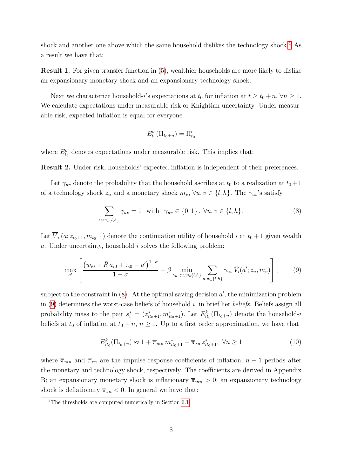shock and another one above which the same household dislikes the technology shock.<sup>[4](#page-1-0)</sup> As a result we have that:

Result 1. For given transfer function in [\(5\)](#page-7-1), wealthier households are more likely to dislike an expansionary monetary shock and an expansionary technology shock.

Next we characterize household-i's expectations at  $t_0$  for inflation at  $t \geq t_0 + n$ ,  $\forall n \geq 1$ . We calculate expectations under measurable risk or Knightian uncertainty. Under measurable risk, expected inflation is equal for everyone

<span id="page-9-0"></span>
$$
E^\sigma_{t_0}(\Pi_{t_0+n}) = \Pi^e_{t_0}
$$

where  $E_{t_0}^{\sigma}$  denotes expectations under measurable risk. This implies that:

Result 2. Under risk, households' expected inflation is independent of their preferences.

Let  $\gamma_{uv}$  denote the probability that the household ascribes at  $t_0$  to a realization at  $t_0 + 1$ of a technology shock  $z_u$  and a monetary shock  $m_v$ ,  $\forall u, v \in \{l, h\}$ . The  $\gamma_{uv}$ 's satisfy

<span id="page-9-1"></span>
$$
\sum_{u,v \in \{l,h\}} \gamma_{uv} = 1 \quad \text{with} \quad \gamma_{uv} \in \{0,1\} \,,\,\forall u,v \in \{l,h\}. \tag{8}
$$

Let  $\overline{V}_i(a; z_{t_0+1}, m_{t_0+1})$  denote the continuation utility of household i at  $t_0 + 1$  given wealth a. Under uncertainty, household i solves the following problem:

$$
\max_{a'} \left[ \frac{\left(w_{i0} + \bar{R} a_{i0} + \tau_{i0} - a'\right)^{1-\sigma}}{1-\sigma} + \beta \min_{\gamma_{uv};u,v \in \{l,h\}} \sum_{u,v \in \{l,h\}} \gamma_{uv} \,\bar{V}_i(a'; z_u, m_v) \right],\tag{9}
$$

subject to the constraint in  $(8)$ . At the optimal saving decision  $a'$ , the minimization problem in  $(9)$  determines the worst-case beliefs of household i, in brief her beliefs. Beliefs assign all probability mass to the pair  $s_i^* = (z_{it_0+1}^*, m_{it_0+1}^*)$ . Let  $E_{it_0}^k(\Pi_{t_0+n})$  denote the household-i beliefs at  $t_0$  of inflation at  $t_0 + n$ ,  $n \ge 1$ . Up to a first order approximation, we have that

<span id="page-9-2"></span>
$$
E_{it_0}^k(\Pi_{t_0+n}) \approx 1 + \overline{\pi}_{mn} m_{it_0+1}^* + \overline{\pi}_{zn} z_{it_0+1}^*, \ \forall n \ge 1
$$
 (10)

where  $\bar{\pi}_{mn}$  and  $\bar{\pi}_{zn}$  are the impulse response coefficients of inflation,  $n-1$  periods after the monetary and technology shock, respectively. The coefficients are derived in Appendix [B:](#page-48-0) an expansionary monetary shock is inflationary  $\bar{\pi}_{mn} > 0$ ; an expansionary technology shock is deflationary  $\bar{\pi}_{zn} < 0$ . In general we have that:

<sup>4</sup>The thresholds are computed numerically in Section [6.1.](#page-32-1)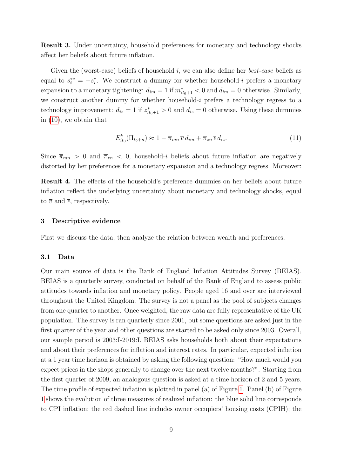Result 3. Under uncertainty, household preferences for monetary and technology shocks affect her beliefs about future inflation.

Given the (worst-case) beliefs of household  $i$ , we can also define her *best-case* beliefs as equal to  $s_i^{**} = -s_i^*$ . We construct a dummy for whether household-i prefers a monetary expansion to a monetary tightening:  $d_{im} = 1$  if  $m^*_{it_0+1} < 0$  and  $d_{im} = 0$  otherwise. Similarly, we construct another dummy for whether household-i prefers a technology regress to a technology improvement:  $d_{iz} = 1$  if  $z_{it_0+1}^* > 0$  and  $d_{iz} = 0$  otherwise. Using these dummies in [\(10\)](#page-9-2), we obtain that

<span id="page-10-1"></span>
$$
E_{it_0}^k(\Pi_{t_0+n}) \approx 1 - \overline{\pi}_{mn} \,\overline{v} \, d_{im} + \overline{\pi}_{zn} \,\overline{\epsilon} \, d_{iz}.\tag{11}
$$

Since  $\bar{\pi}_{mn} > 0$  and  $\bar{\pi}_{zn} < 0$ , household-*i* beliefs about future inflation are negatively distorted by her preferences for a monetary expansion and a technology regress. Moreover:

Result 4. The effects of the household's preference dummies on her beliefs about future inflation reflect the underlying uncertainty about monetary and technology shocks, equal to  $\overline{v}$  and  $\overline{\epsilon}$ , respectively.

#### <span id="page-10-0"></span>3 Descriptive evidence

First we discuss the data, then analyze the relation between wealth and preferences.

#### 3.1 Data

Our main source of data is the Bank of England Inflation Attitudes Survey (BEIAS). BEIAS is a quarterly survey, conducted on behalf of the Bank of England to assess public attitudes towards inflation and monetary policy. People aged 16 and over are interviewed throughout the United Kingdom. The survey is not a panel as the pool of subjects changes from one quarter to another. Once weighted, the raw data are fully representative of the UK population. The survey is ran quarterly since 2001, but some questions are asked just in the first quarter of the year and other questions are started to be asked only since 2003. Overall, our sample period is 2003:I-2019:I. BEIAS asks households both about their expectations and about their preferences for inflation and interest rates. In particular, expected inflation at a 1 year time horizon is obtained by asking the following question: "How much would you expect prices in the shops generally to change over the next twelve months?". Starting from the first quarter of 2009, an analogous question is asked at a time horizon of 2 and 5 years. The time profile of expected inflation is plotted in panel (a) of Figure [1.](#page-11-0) Panel (b) of Figure [1](#page-11-0) shows the evolution of three measures of realized inflation: the blue solid line corresponds to CPI inflation; the red dashed line includes owner occupiers' housing costs (CPIH); the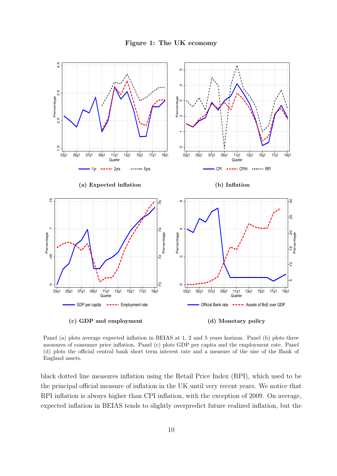

<span id="page-11-0"></span>

Panel (a) plots average expected inflation in BEIAS at 1, 2 and 5 years horizon. Panel (b) plots three measures of consumer price inflation. Panel (c) plots GDP per capita and the employment rate. Panel (d) plots the official central bank short term interest rate and a measure of the size of the Bank of England assets.

black dotted line measures inflation using the Retail Price Index (RPI), which used to be the principal official measure of inflation in the UK until very recent years. We notice that RPI inflation is always higher than CPI inflation, with the exception of 2009. On average, expected inflation in BEIAS tends to slightly overpredict future realized inflation, but the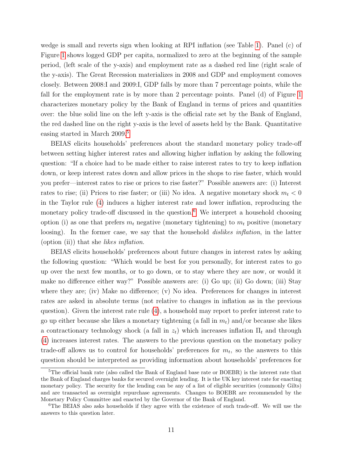wedge is small and reverts sign when looking at RPI inflation (see Table [1\)](#page-13-0). Panel (c) of Figure [1](#page-11-0) shows logged GDP per capita, normalized to zero at the beginning of the sample period, (left scale of the y-axis) and employment rate as a dashed red line (right scale of the y-axis). The Great Recession materializes in 2008 and GDP and employment comoves closely. Between 2008:I and 2009:I, GDP falls by more than 7 percentage points, while the fall for the employment rate is by more than 2 percentage points. Panel (d) of Figure [1](#page-11-0) characterizes monetary policy by the Bank of England in terms of prices and quantities over: the blue solid line on the left y-axis is the official rate set by the Bank of England, the red dashed line on the right y-axis is the level of assets held by the Bank. Quantitative easing started in March 2009.[5](#page-1-0)

BEIAS elicits households' preferences about the standard monetary policy trade-off between setting higher interest rates and allowing higher inflation by asking the following question: "If a choice had to be made either to raise interest rates to try to keep inflation down, or keep interest rates down and allow prices in the shops to rise faster, which would you prefer—interest rates to rise or prices to rise faster?" Possible answers are: (i) Interest rates to rise; (ii) Prices to rise faster; or (iii) No idea. A negative monetary shock  $m_t < 0$ in the Taylor rule [\(4\)](#page-7-0) induces a higher interest rate and lower inflation, reproducing the monetary policy trade-off discussed in the question.<sup>[6](#page-1-0)</sup> We interpret a household choosing option (i) as one that prefers  $m_t$  negative (monetary tightening) to  $m_t$  positive (monetary loosing). In the former case, we say that the household *dislikes inflation*, in the latter (option (ii)) that she likes inflation.

BEIAS elicits households' preferences about future changes in interest rates by asking the following question: "Which would be best for you personally, for interest rates to go up over the next few months, or to go down, or to stay where they are now, or would it make no difference either way?" Possible answers are: (i) Go up; (ii) Go down; (iii) Stay where they are; (iv) Make no difference; (v) No idea. Preferences for changes in interest rates are asked in absolute terms (not relative to changes in inflation as in the previous question). Given the interest rate rule [\(4\)](#page-7-0), a household may report to prefer interest rate to go up either because she likes a monetary tightening (a fall in  $m_t$ ) and/or because she likes a contractionary technology shock (a fall in  $z_t$ ) which increases inflation  $\Pi_t$  and through [\(4\)](#page-7-0) increases interest rates. The answers to the previous question on the monetary policy trade-off allows us to control for households' preferences for  $m_t$ , so the answers to this question should be interpreted as providing information about households' preferences for

<sup>5</sup>The official bank rate (also called the Bank of England base rate or BOEBR) is the interest rate that the Bank of England charges banks for secured overnight lending. It is the UK key interest rate for enacting monetary policy. The security for the lending can be any of a list of eligible securities (commonly Gilts) and are transacted as overnight repurchase agreements. Changes to BOEBR are recommended by the Monetary Policy Committee and enacted by the Governor of the Bank of England.

<sup>&</sup>lt;sup>6</sup>The BEIAS also asks households if they agree with the existence of such trade-off. We will use the answers to this question later.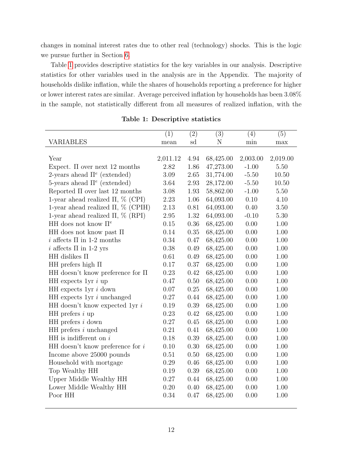changes in nominal interest rates due to other real (technology) shocks. This is the logic we pursue further in Section [6.](#page-32-0)

Table [1](#page-13-0) provides descriptive statistics for the key variables in our analysis. Descriptive statistics for other variables used in the analysis are in the Appendix. The majority of households dislike inflation, while the shares of households reporting a preference for higher or lower interest rates are similar. Average perceived inflation by households has been 3.08% in the sample, not statistically different from all measures of realized inflation, with the

<span id="page-13-0"></span>

|                                           | (1)      | (2)  | (3)       | (4)      | (5)      |
|-------------------------------------------|----------|------|-----------|----------|----------|
| VARIABLES                                 | mean     | sd   | N         | min      | $\max$   |
|                                           |          |      |           |          |          |
| Year                                      | 2,011.12 | 4.94 | 68,425.00 | 2,003.00 | 2,019.00 |
| Expect. $\Pi$ over next 12 months         | 2.82     | 1.86 | 47,273.00 | $-1.00$  | 5.50     |
| 2-years ahead $\Pi^e$ (extended)          | 3.09     | 2.65 | 31,774.00 | $-5.50$  | 10.50    |
| 5-years ahead $\Pi^e$ (extended)          | 3.64     | 2.93 | 28,172.00 | $-5.50$  | 10.50    |
| Reported $\Pi$ over last 12 months        | 3.08     | 1.93 | 58,862.00 | $-1.00$  | 5.50     |
| 1-year ahead realized $\Pi$ , $\%$ (CPI)  | 2.23     | 1.06 | 64,093.00 | 0.10     | 4.10     |
| 1-year ahead realized $\Pi$ , $\%$ (CPIH) | 2.13     | 0.81 | 64,093.00 | 0.40     | 3.50     |
| 1-year ahead realized $\Pi$ , $\%$ (RPI)  | 2.95     | 1.32 | 64,093.00 | $-0.10$  | 5.30     |
| HH does not know $\Pi^e$                  | 0.15     | 0.36 | 68,425.00 | 0.00     | 1.00     |
| HH does not know past $\Pi$               | 0.14     | 0.35 | 68,425.00 | 0.00     | 1.00     |
| i affects $\Pi$ in 1-2 months             | 0.34     | 0.47 | 68,425.00 | 0.00     | 1.00     |
| i affects $\Pi$ in 1-2 yrs                | 0.38     | 0.49 | 68,425.00 | 0.00     | 1.00     |
| HH dislikes $\Pi$                         | 0.61     | 0.49 | 68,425.00 | 0.00     | 1.00     |
| HH prefers high $\Pi$                     | 0.17     | 0.37 | 68,425.00 | 0.00     | 1.00     |
| HH doesn't know preference for $\Pi$      | 0.23     | 0.42 | 68,425.00 | 0.00     | 1.00     |
| HH expects $1yr i up$                     | 0.47     | 0.50 | 68,425.00 | 0.00     | 1.00     |
| HH expects $1yr i down$                   | 0.07     | 0.25 | 68,425.00 | 0.00     | 1.00     |
| HH expects $1yr i$ unchanged              | 0.27     | 0.44 | 68,425.00 | 0.00     | 1.00     |
| HH doesn't know expected 1yr $i$          | 0.19     | 0.39 | 68,425.00 | 0.00     | 1.00     |
| HH prefers $i$ up                         | 0.23     | 0.42 | 68,425.00 | 0.00     | 1.00     |
| $HH$ prefers i down                       | 0.27     | 0.45 | 68,425.00 | 0.00     | 1.00     |
| $HH$ prefers $i$ unchanged                | 0.21     | 0.41 | 68,425.00 | 0.00     | 1.00     |
| $HH$ is indifferent on i                  | 0.18     | 0.39 | 68,425.00 | 0.00     | 1.00     |
| HH doesn't know preference for $i$        | 0.10     | 0.30 | 68,425.00 | 0.00     | $1.00\,$ |
| Income above 25000 pounds                 | 0.51     | 0.50 | 68,425.00 | 0.00     | 1.00     |
| Household with mortgage                   | 0.29     | 0.46 | 68,425.00 | 0.00     | 1.00     |
| Top Wealthy HH                            | 0.19     | 0.39 | 68,425.00 | 0.00     | $1.00\,$ |
| Upper Middle Wealthy HH                   | 0.27     | 0.44 | 68,425.00 | 0.00     | $1.00\,$ |
| Lower Middle Wealthy HH                   | 0.20     | 0.40 | 68,425.00 | 0.00     | 1.00     |
| Poor HH                                   | 0.34     | 0.47 | 68,425.00 | 0.00     | 1.00     |
|                                           |          |      |           |          |          |

Table 1: Descriptive statistics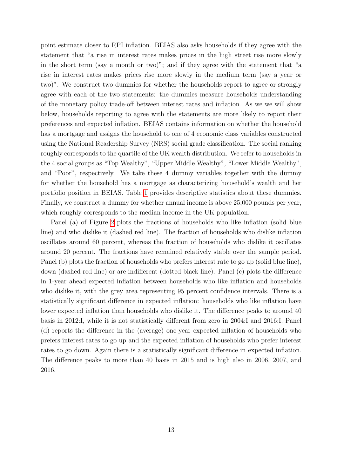point estimate closer to RPI inflation. BEIAS also asks households if they agree with the statement that "a rise in interest rates makes prices in the high street rise more slowly in the short term (say a month or two)"; and if they agree with the statement that "a rise in interest rates makes prices rise more slowly in the medium term (say a year or two)". We construct two dummies for whether the households report to agree or strongly agree with each of the two statements: the dummies measure households understanding of the monetary policy trade-off between interest rates and inflation. As we we will show below, households reporting to agree with the statements are more likely to report their preferences and expected inflation. BEIAS contains information on whether the household has a mortgage and assigns the household to one of 4 economic class variables constructed using the National Readership Survey (NRS) social grade classification. The social ranking roughly corresponds to the quartile of the UK wealth distribution. We refer to households in the 4 social groups as "Top Wealthy", "Upper Middle Wealthy", "Lower Middle Wealthy", and "Poor", respectively. We take these 4 dummy variables together with the dummy for whether the household has a mortgage as characterizing household's wealth and her portfolio position in BEIAS. Table [1](#page-13-0) provides descriptive statistics about these dummies. Finally, we construct a dummy for whether annual income is above 25,000 pounds per year, which roughly corresponds to the median income in the UK population.

Panel (a) of Figure [2](#page-15-0) plots the fractions of households who like inflation (solid blue line) and who dislike it (dashed red line). The fraction of households who dislike inflation oscillates around 60 percent, whereas the fraction of households who dislike it oscillates around 20 percent. The fractions have remained relatively stable over the sample period. Panel (b) plots the fraction of households who prefers interest rate to go up (solid blue line), down (dashed red line) or are indifferent (dotted black line). Panel (c) plots the difference in 1-year ahead expected inflation between households who like inflation and households who dislike it, with the grey area representing 95 percent confidence intervals. There is a statistically significant difference in expected inflation: households who like inflation have lower expected inflation than households who dislike it. The difference peaks to around 40 basis in 2012:I, while it is not statistically different from zero in 2004:I and 2016:I. Panel (d) reports the difference in the (average) one-year expected inflation of households who prefers interest rates to go up and the expected inflation of households who prefer interest rates to go down. Again there is a statistically significant difference in expected inflation. The difference peaks to more than 40 basis in 2015 and is high also in 2006, 2007, and 2016.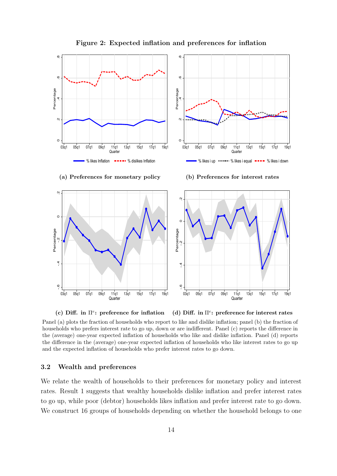<span id="page-15-0"></span>

#### Figure 2: Expected inflation and preferences for inflation

(c) Diff. in  $\Pi^e$ : preference for inflation (d) Diff. in  $\Pi^e$ : preference for interest rates

Panel (a) plots the fraction of households who report to like and dislike inflation; panel (b) the fraction of households who prefers interest rate to go up, down or are indifferent. Panel (c) reports the difference in the (average) one-year expected inflation of households who like and dislike inflation. Panel (d) reports the difference in the (average) one-year expected inflation of households who like interest rates to go up and the expected inflation of households who prefer interest rates to go down.

#### <span id="page-15-1"></span>3.2 Wealth and preferences

We relate the wealth of households to their preferences for monetary policy and interest rates. Result 1 suggests that wealthy households dislike inflation and prefer interest rates to go up, while poor (debtor) households likes inflation and prefer interest rate to go down. We construct 16 groups of households depending on whether the household belongs to one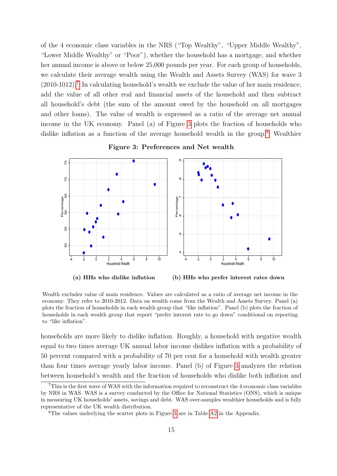of the 4 economic class variables in the NRS ("Top Wealthy", "Upper Middle Wealthy", "Lower Middle Wealthy" or "Poor"), whether the household has a mortgage, and whether her annual income is above or below 25,000 pounds per year. For each group of households, we calculate their average wealth using the Wealth and Assets Survey (WAS) for wave 3  $(2010-1012)$ .<sup>[7](#page-1-0)</sup> In calculating household's wealth we exclude the value of her main residence, add the value of all other real and financial assets of the household and then subtract all household's debt (the sum of the amount owed by the household on all mortgages and other loans). The value of wealth is expressed as a ratio of the average net annual income in the UK economy. Panel (a) of Figure [3](#page-16-0) plots the fraction of households who dislike inflation as a function of the average household wealth in the group.<sup>[8](#page-1-0)</sup> Wealthier

<span id="page-16-0"></span>

Figure 3: Preferences and Net wealth

(b) HHs who prefer interest rates down

Wealth excludes value of main residence. Values are calculated as a ratio of average net income in the economy. They refer to 2010-2012. Data on wealth come from the Wealth and Assets Survey. Panel (a) plots the fraction of households in each wealth group that "like inflation". Panel (b) plots the fraction of households in each wealth group that report "prefer interest rate to go down" conditional on reporting to "like inflation".

households are more likely to dislike inflation. Roughly, a household with negative wealth equal to two times average UK annual labor income dislikes inflation with a probability of 50 percent compared with a probability of 70 per cent for a household with wealth greater than four times average yearly labor income. Panel (b) of Figure [3](#page-16-0) analyzes the relation between household's wealth and the fraction of households who dislike both inflation and

<sup>7</sup>This is the first wave of WAS with the information required to reconstruct the 4 economic class variables by NRS in WAS. WAS is a survey conducted by the Office for National Statistics (ONS), which is unique in measuring UK households' assets, savings and debt. WAS over-samples wealthier households and is fully representative of the UK wealth distribution.

<sup>8</sup>The values underlying the scatter plots in Figure [3](#page-16-0) are in Table [A2](#page-44-0) in the Appendix.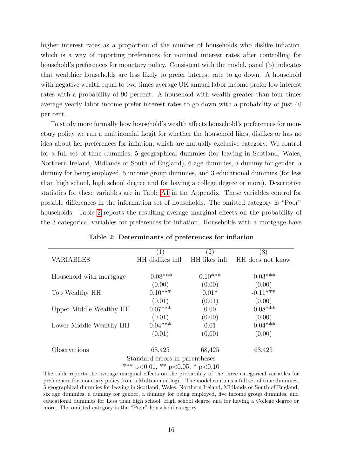higher interest rates as a proportion of the number of households who dislike inflation, which is a way of reporting preferences for nominal interest rates after controlling for household's preferences for monetary policy. Consistent with the model, panel (b) indicates that wealthier households are less likely to prefer interest rate to go down. A household with negative wealth equal to two times average UK annual labor income prefer low interest rates with a probability of 90 percent. A household with wealth greater than four times average yearly labor income prefer interest rates to go down with a probability of just 40 per cent.

To study more formally how household's wealth affects household's preferences for monetary policy we run a multinomial Logit for whether the household likes, dislikes or has no idea about her preferences for inflation, which are mutually exclusive category. We control for a full set of time dummies, 5 geographical dummies (for leaving in Scotland, Wales, Northern Ireland, Midlands or South of England), 6 age dummies, a dummy for gender, a dummy for being employed, 5 income group dummies, and 3 educational dummies (for less than high school, high school degree and for having a college degree or more). Descriptive statistics for these variables are in Table [A1](#page-43-0) in the Appendix. These variables control for possible differences in the information set of households. The omitted category is "Poor" households. Table [2](#page-17-0) reports the resulting average marginal effects on the probability of the 3 categorical variables for preferences for inflation. Households with a mortgage have

<span id="page-17-0"></span>

|                                | (1)                              | $\left( 2\right)$ | (3)              |  |  |  |
|--------------------------------|----------------------------------|-------------------|------------------|--|--|--|
| <b>VARIABLES</b>               | HH_dislikes_infl_ HH_likes_infl_ |                   | HH_does_not_know |  |  |  |
|                                |                                  |                   |                  |  |  |  |
| Household with mortgage        | $-0.08***$                       | $0.10***$         | $-0.03***$       |  |  |  |
|                                | (0.00)                           | (0.00)            | (0.00)           |  |  |  |
| Top Wealthy HH                 | $0.10***$                        | $0.01*$           | $-0.11***$       |  |  |  |
|                                | (0.01)                           | (0.01)            | (0.00)           |  |  |  |
| Upper Middle Wealthy HH        | $0.07***$                        | 0.00              | $-0.08***$       |  |  |  |
|                                | (0.01)                           | (0.00)            | (0.00)           |  |  |  |
| Lower Middle Wealthy HH        | $0.04***$                        | 0.01              | $-0.04***$       |  |  |  |
|                                | (0.01)                           | (0.00)            | (0.00)           |  |  |  |
|                                |                                  |                   |                  |  |  |  |
| Observations                   | 68,425                           | 68,425            | 68,425           |  |  |  |
| Standard errors in parentheses |                                  |                   |                  |  |  |  |

Table 2: Determinants of preferences for inflation

a errors in pa

\*\*\* p<0.01, \*\* p<0.05, \* p<0.10

The table reports the average marginal effects on the probability of the three categorical variables for preferences for monetary policy from a Multinomial logit. The model contains a full set of time dummies, 5 geographical dummies for leaving in Scotland, Wales, Northern Ireland, Midlands or South of England, six age dummies, a dummy for gender, a dummy for being employed, five income group dummies, and educational dummies for Less than high school, High school degree and for having a College degree or more. The omitted category is the "Poor" household category.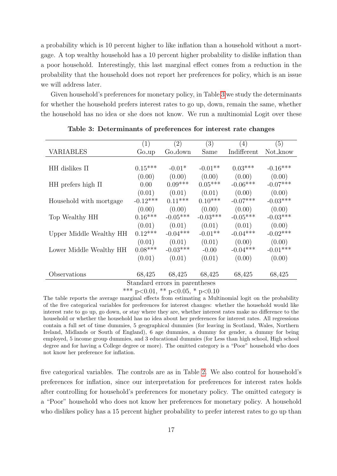a probability which is 10 percent higher to like inflation than a household without a mortgage. A top wealthy household has a 10 percent higher probability to dislike inflation than a poor household. Interestingly, this last marginal effect comes from a reduction in the probability that the household does not report her preferences for policy, which is an issue we will address later.

Given household's preferences for monetary policy, in Table [3](#page-18-0) we study the determinants for whether the household prefers interest rates to go up, down, remain the same, whether the household has no idea or she does not know. We run a multinomial Logit over these

<span id="page-18-0"></span>

|                                | (1)               | (2)                            | (3)        | (4)         | (5)        |  |
|--------------------------------|-------------------|--------------------------------|------------|-------------|------------|--|
| <b>VARIABLES</b>               | Go <sub>-up</sub> | Go <sub>-down</sub>            | Same       | Indifferent | Not_know   |  |
|                                |                   |                                |            |             |            |  |
| HH dislikes $\Pi$              | $0.15***$         | $-0.01*$                       | $-0.01**$  | $0.03***$   | $-0.16***$ |  |
|                                | (0.00)            | (0.00)                         | (0.00)     | (0.00)      | (0.00)     |  |
| HH prefers high $\Pi$          | 0.00              | $0.09***$                      | $0.05***$  | $-0.06***$  | $-0.07***$ |  |
|                                | (0.01)            | (0.01)                         | (0.01)     | (0.00)      | (0.00)     |  |
| Household with mortgage        | $-0.12***$        | $0.11***$                      | $0.10***$  | $-0.07***$  | $-0.03***$ |  |
|                                | (0.00)            | (0.00)                         | (0.00)     | (0.00)      | (0.00)     |  |
| Top Wealthy HH                 | $0.16***$         | $-0.05***$                     | $-0.03***$ | $-0.05***$  | $-0.03***$ |  |
|                                | (0.01)            | (0.01)                         | (0.01)     | (0.01)      | (0.00)     |  |
| Upper Middle Wealthy HH        | $0.12***$         | $-0.04***$                     | $-0.01**$  | $-0.04***$  | $-0.02***$ |  |
|                                | (0.01)            | (0.01)                         | (0.01)     | (0.00)      | (0.00)     |  |
| Lower Middle Wealthy HH        | $0.08***$         | $-0.03***$                     | $-0.00$    | $-0.04***$  | $-0.01***$ |  |
|                                | (0.01)            | (0.01)                         | (0.01)     | (0.00)      | (0.00)     |  |
|                                |                   |                                |            |             |            |  |
| Observations                   | 68,425            | 68,425                         | 68,425     | 68,425      | 68,425     |  |
|                                |                   | Standard errors in parentheses |            |             |            |  |
| $***$ 0.01 $***$ 0.05 $*$ 0.10 |                   |                                |            |             |            |  |

Table 3: Determinants of preferences for interest rate changes

\*\*\* p<0.01, \*\* p<0.05, \* p<0.10

The table reports the average marginal effects from estimating a Multinomial logit on the probability of the five categorical variables for preferences for interest changes: whether the household would like interest rate to go up, go down, or stay where they are, whether interest rates make no difference to the household or whether the household has no idea about her preferences for interest rates. All regressions contain a full set of time dummies, 5 geographical dummies (for leaving in Scotland, Wales, Northern Ireland, Midlands or South of England), 6 age dummies, a dummy for gender, a dummy for being employed, 5 income group dummies, and 3 educational dummies (for Less than high school, High school degree and for having a College degree or more). The omitted category is a "Poor" household who does not know her preference for inflation.

five categorical variables. The controls are as in Table [2.](#page-17-0) We also control for household's preferences for inflation, since our interpretation for preferences for interest rates holds after controlling for household's preferences for monetary policy. The omitted category is a "Poor" household who does not know her preferences for monetary policy. A household who dislikes policy has a 15 percent higher probability to prefer interest rates to go up than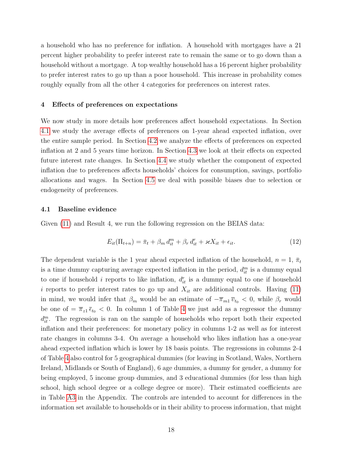a household who has no preference for inflation. A household with mortgages have a 21 percent higher probability to prefer interest rate to remain the same or to go down than a household without a mortgage. A top wealthy household has a 16 percent higher probability to prefer interest rates to go up than a poor household. This increase in probability comes roughly equally from all the other 4 categories for preferences on interest rates.

#### <span id="page-19-0"></span>4 Effects of preferences on expectations

We now study in more details how preferences affect household expectations. In Section [4.1](#page-19-1) we study the average effects of preferences on 1-year ahead expected inflation, over the entire sample period. In Section [4.2](#page-21-0) we analyze the effects of preferences on expected inflation at 2 and 5 years time horizon. In Section [4.3](#page-22-0) we look at their effects on expected future interest rate changes. In Section [4.4](#page-23-0) we study whether the component of expected inflation due to preferences affects households' choices for consumption, savings, portfolio allocations and wages. In Section [4.5](#page-25-0) we deal with possible biases due to selection or endogeneity of preferences.

#### <span id="page-19-1"></span>4.1 Baseline evidence

Given [\(11\)](#page-10-1) and Result 4, we run the following regression on the BEIAS data:

<span id="page-19-2"></span>
$$
E_{it}(\Pi_{t+n}) = \bar{\pi}_t + \beta_m d_{it}^m + \beta_r d_{it}^r + \varkappa X_{it} + \epsilon_{it}.
$$
\n(12)

The dependent variable is the 1 year ahead expected inflation of the household,  $n = 1, \bar{\pi}_t$ is a time dummy capturing average expected inflation in the period,  $d_{it}^m$  is a dummy equal to one if household *i* reports to like inflation,  $d_{it}^r$  is a dummy equal to one if household i reports to prefer interest rates to go up and  $X_{it}$  are additional controls. Having [\(11\)](#page-10-1) in mind, we would infer that  $\beta_m$  would be an estimate of  $-\overline{\pi}_{m1} \overline{v}_{t_0} < 0$ , while  $\beta_r$  would be one of  $=\overline{\pi}_{z1} \overline{\epsilon}_{t_0} < 0$ . In column 1 of Table [4](#page-20-0) we just add as a regressor the dummy  $d_{it}^{m}$ . The regression is ran on the sample of households who report both their expected inflation and their preferences: for monetary policy in columns 1-2 as well as for interest rate changes in columns 3-4. On average a household who likes inflation has a one-year ahead expected inflation which is lower by 18 basis points. The regressions in columns 2-4 of Table [4](#page-20-0) also control for 5 geographical dummies (for leaving in Scotland, Wales, Northern Ireland, Midlands or South of England), 6 age dummies, a dummy for gender, a dummy for being employed, 5 income group dummies, and 3 educational dummies (for less than high school, high school degree or a college degree or more). Their estimated coefficients are in Table [A3](#page-45-0) in the Appendix. The controls are intended to account for differences in the information set available to households or in their ability to process information, that might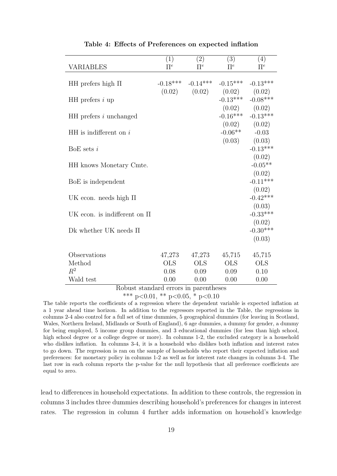<span id="page-20-0"></span>

|                                  | (1)     | (2)                   | (3)                                 | (4)                                        |
|----------------------------------|---------|-----------------------|-------------------------------------|--------------------------------------------|
| <b>VARIABLES</b>                 | $\Pi^e$ | $\Pi^e$               | $\Pi^e$                             | $\Pi^e$                                    |
| HH prefers high $\Pi$            |         | $-0.18***$ $-0.14***$ | $-0.15***$ $-0.13***$               |                                            |
| HH prefers $i$ up                |         |                       | $(0.02)$ $(0.02)$ $(0.02)$ $(0.02)$ | $-0.13***$ $-0.08***$<br>$(0.02)$ $(0.02)$ |
| HH prefers <i>i</i> unchanged    |         |                       |                                     | $-0.16***$ $-0.13***$<br>$(0.02)$ $(0.02)$ |
| $HH$ is indifferent on i         |         |                       | $-0.06**$ $-0.03$                   | $(0.03)$ $(0.03)$                          |
| BoE sets $i$                     |         |                       |                                     | $-0.13***$<br>(0.02)                       |
| HH knows Monetary Cmte.          |         |                       |                                     | $-0.05**$                                  |
| BoE is independent               |         |                       |                                     | (0.02)<br>$-0.11***$                       |
| UK econ. needs high $\Pi$        |         |                       |                                     | (0.02)<br>$-0.42***$                       |
| UK econ. is indifferent on $\Pi$ |         |                       |                                     | (0.03)<br>$-0.33***$                       |
| Dk whether UK needs $\Pi$        |         |                       |                                     | (0.02)<br>$-0.30***$                       |
|                                  |         |                       |                                     | (0.03)                                     |
| Observations                     | 47,273  | 47,273                | 45,715                              | 45,715                                     |
| Method                           | OLS     | <b>OLS</b>            | OLS                                 | <b>OLS</b>                                 |
| $R^2$                            | 0.08    | 0.09                  | 0.09                                | 0.10                                       |
| Wald test                        | 0.00    | 0.00                  | 0.00                                | 0.00                                       |

Table 4: Effects of Preferences on expected inflation

Robust standard errors in parentheses

\*\*\* p<0.01, \*\* p<0.05, \* p<0.10

The table reports the coefficients of a regression where the dependent variable is expected inflation at a 1 year ahead time horizon. In addition to the regressors reported in the Table, the regressions in columns 2-4 also control for a full set of time dummies, 5 geographical dummies (for leaving in Scotland, Wales, Northern Ireland, Midlands or South of England), 6 age dummies, a dummy for gender, a dummy for being employed, 5 income group dummies, and 3 educational dummies (for less than high school, high school degree or a college degree or more). In columns 1-2, the excluded category is a household who dislikes inflation. In columns 3-4, it is a household who dislikes both inflation and interest rates to go down. The regression is ran on the sample of households who report their expected inflation and preferences: for monetary policy in columns 1-2 as well as for interest rate changes in columns 3-4. The last row in each column reports the p-value for the null hypothesis that all preference coefficients are equal to zero.

lead to differences in household expectations. In addition to these controls, the regression in columns 3 includes three dummies describing household's preferences for changes in interest rates. The regression in column 4 further adds information on household's knowledge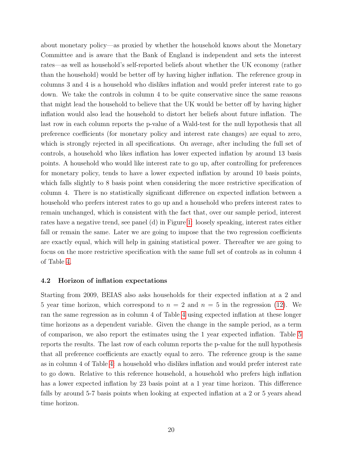about monetary policy—as proxied by whether the household knows about the Monetary Committee and is aware that the Bank of England is independent and sets the interest rates—as well as household's self-reported beliefs about whether the UK economy (rather than the household) would be better off by having higher inflation. The reference group in columns 3 and 4 is a household who dislikes inflation and would prefer interest rate to go down. We take the controls in column 4 to be quite conservative since the same reasons that might lead the household to believe that the UK would be better off by having higher inflation would also lead the household to distort her beliefs about future inflation. The last row in each column reports the p-value of a Wald-test for the null hypothesis that all preference coefficients (for monetary policy and interest rate changes) are equal to zero, which is strongly rejected in all specifications. On average, after including the full set of controls, a household who likes inflation has lower expected inflation by around 13 basis points. A household who would like interest rate to go up, after controlling for preferences for monetary policy, tends to have a lower expected inflation by around 10 basis points, which falls slightly to 8 basis point when considering the more restrictive specification of column 4. There is no statistically significant difference on expected inflation between a household who prefers interest rates to go up and a household who prefers interest rates to remain unchanged, which is consistent with the fact that, over our sample period, interest rates have a negative trend, see panel (d) in Figure [1:](#page-11-0) loosely speaking, interest rates either fall or remain the same. Later we are going to impose that the two regression coefficients are exactly equal, which will help in gaining statistical power. Thereafter we are going to focus on the more restrictive specification with the same full set of controls as in column 4 of Table [4.](#page-20-0)

#### <span id="page-21-0"></span>4.2 Horizon of inflation expectations

Starting from 2009, BEIAS also asks households for their expected inflation at a 2 and 5 year time horizon, which correspond to  $n = 2$  and  $n = 5$  in the regression [\(12\)](#page-19-2). We ran the same regression as in column 4 of Table [4](#page-20-0) using expected inflation at these longer time horizons as a dependent variable. Given the change in the sample period, as a term of comparison, we also report the estimates using the 1 year expected inflation. Table [5](#page-22-1) reports the results. The last row of each column reports the p-value for the null hypothesis that all preference coefficients are exactly equal to zero. The reference group is the same as in column 4 of Table [4:](#page-20-0) a household who dislikes inflation and would prefer interest rate to go down. Relative to this reference household, a household who prefers high inflation has a lower expected inflation by 23 basis point at a 1 year time horizon. This difference falls by around 5-7 basis points when looking at expected inflation at a 2 or 5 years ahead time horizon.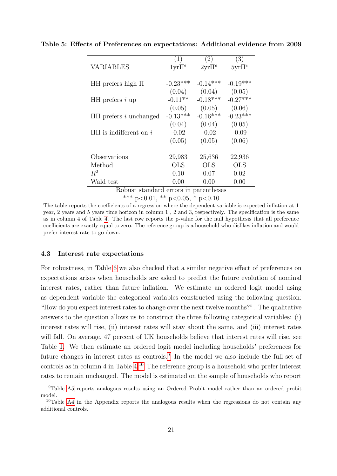|                          | (1)          | (2)              | (3)               |
|--------------------------|--------------|------------------|-------------------|
| <b>VARIABLES</b>         | $1yr\prod e$ | $2{\rm yr}\Pi^e$ | $5\text{yr}\Pi^e$ |
|                          |              |                  |                   |
| HH prefers high $\Pi$    | $-0.23***$   | $-0.14***$       | $-0.19***$        |
|                          | (0.04)       | (0.04)           | (0.05)            |
| HH prefers $i$ up        | $-0.11**$    | $-0.18***$       | $-0.27***$        |
|                          | (0.05)       | (0.05)           | (0.06)            |
| $HH$ prefers i unchanged | $-0.13***$   | $-0.16***$       | $-0.23***$        |
|                          | (0.04)       | (0.04)           | (0.05)            |
| $HH$ is indifferent on i | $-0.02$      | $-0.02$          | $-0.09$           |
|                          | (0.05)       | (0.05)           | (0.06)            |
|                          |              |                  |                   |
| Observations             | 29,983       | 25,636           | 22,936            |
| Method                   | <b>OLS</b>   | <b>OLS</b>       | <b>OLS</b>        |
| $R^2$                    | 0.10         | 0.07             | 0.02              |
| Wald test                | 0.00         | 0.00             | 0.00              |
| $\mathbf{L}$<br>D 1      | L.           | $\cdot$ 1        |                   |

<span id="page-22-1"></span>Table 5: Effects of Preferences on expectations: Additional evidence from 2009

Robust standard errors in parentheses

\*\*\* p<0.01, \*\* p<0.05, \* p<0.10

The table reports the coefficients of a regression where the dependent variable is expected inflation at 1 year, 2 years and 5 years time horizon in column 1 , 2 and 3, respectively. The specification is the same as in column 4 of Table [4.](#page-20-0) The last row reports the p-value for the null hypothesis that all preference coefficients are exactly equal to zero. The reference group is a household who dislikes inflation and would prefer interest rate to go down.

#### <span id="page-22-0"></span>4.3 Interest rate expectations

For robustness, in Table [6](#page-23-1) we also checked that a similar negative effect of preferences on expectations arises when households are asked to predict the future evolution of nominal interest rates, rather than future inflation. We estimate an ordered logit model using as dependent variable the categorical variables constructed using the following question: "How do you expect interest rates to change over the next twelve months?". The qualitative answers to the question allows us to construct the three following categorical variables: (i) interest rates will rise, (ii) interest rates will stay about the same, and (iii) interest rates will fall. On average, 47 percent of UK households believe that interest rates will rise, see Table [1.](#page-13-0) We then estimate an ordered logit model including households' preferences for future changes in interest rates as controls.<sup>[9](#page-1-0)</sup> In the model we also include the full set of controls as in column  $4$  in Table  $4^{10}$  $4^{10}$  $4^{10}$ . The reference group is a household who prefer interest rates to remain unchanged. The model is estimated on the sample of households who report

<sup>9</sup>Table [A5](#page-46-0) reports analogous results using an Ordered Probit model rather than an ordered probit model.

<sup>&</sup>lt;sup>10</sup>Table [A4](#page-46-1) in the Appendix reports the analogous results when the regressions do not contain any additional controls.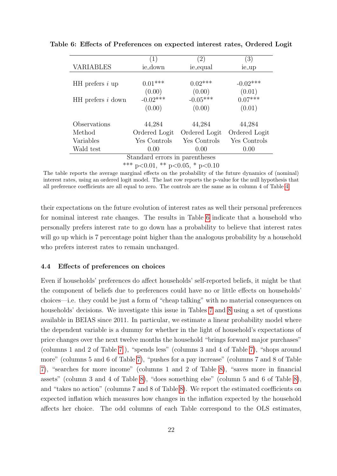|                                 | (1)           | (2)           | (3)           |  |  |  |
|---------------------------------|---------------|---------------|---------------|--|--|--|
| <b>VARIABLES</b>                | ie_down       | ie_equal      | ie_up         |  |  |  |
|                                 |               |               |               |  |  |  |
| $HH$ prefers i up               | $0.01***$     | $0.02***$     | $-0.02***$    |  |  |  |
|                                 | (0.00)        | (0.00)        | (0.01)        |  |  |  |
| $HH$ prefers $i$ down           | $-0.02***$    | $-0.05***$    | $0.07***$     |  |  |  |
|                                 | (0.00)        | (0.00)        | (0.01)        |  |  |  |
| Observations                    | 44,284        | 44,284        | 44,284        |  |  |  |
| Method                          | Ordered Logit | Ordered Logit | Ordered Logit |  |  |  |
| Variables                       | Yes Controls  | Yes Controls  | Yes Controls  |  |  |  |
| Wald test                       | 0.00          | 0.00          | 0.00          |  |  |  |
| Standard errors in parentheses  |               |               |               |  |  |  |
| *** p<0.01, ** p<0.05, * p<0.10 |               |               |               |  |  |  |

<span id="page-23-1"></span>Table 6: Effects of Preferences on expected interest rates, Ordered Logit

The table reports the average marginal effects on the probability of the future dynamics of (nominal) interest rates, using an ordered logit model. The last row reports the p-value for the null hypothesis that all preference coefficients are all equal to zero. The controls are the same as in column 4 of Table [4.](#page-20-0)

their expectations on the future evolution of interest rates as well their personal preferences for nominal interest rate changes. The results in Table [6](#page-23-1) indicate that a household who personally prefers interest rate to go down has a probability to believe that interest rates will go up which is 7 percentage point higher than the analogous probability by a household who prefers interest rates to remain unchanged.

#### <span id="page-23-0"></span>4.4 Effects of preferences on choices

Even if households' preferences do affect households' self-reported beliefs, it might be that the component of beliefs due to preferences could have no or little effects on households' choices—i.e. they could be just a form of "cheap talking" with no material consequences on households' decisions. We investigate this issue in Tables [7](#page-24-0) and [8](#page-25-1) using a set of questions available in BEIAS since 2011. In particular, we estimate a linear probability model where the dependent variable is a dummy for whether in the light of household's expectations of price changes over the next twelve months the household "brings forward major purchases" (columns 1 and 2 of Table [7](#page-24-0) ), "spends less" (columns 3 and 4 of Table [7\)](#page-24-0), "shops around more" (columns 5 and 6 of Table [7\)](#page-24-0), "pushes for a pay increase" (columns 7 and 8 of Table [7\)](#page-24-0), "searches for more income" (columns 1 and 2 of Table [8\)](#page-25-1), "saves more in financial assets" (column 3 and 4 of Table [8\)](#page-25-1), "does something else" (column 5 and 6 of Table [8\)](#page-25-1), and "takes no action" (columns 7 and 8 of Table [8\)](#page-25-1). We report the estimated coefficients on expected inflation which measures how changes in the inflation expected by the household affects her choice. The odd columns of each Table correspond to the OLS estimates,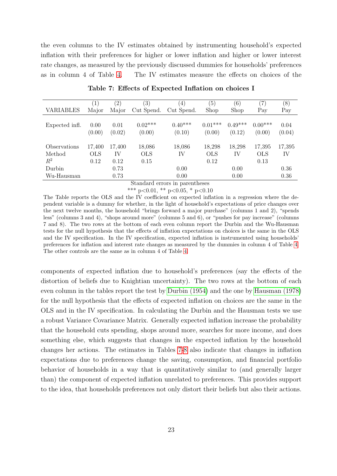the even columns to the IV estimates obtained by instrumenting household's expected inflation with their preferences for higher or lower inflation and higher or lower interest rate changes, as measured by the previously discussed dummies for households' preferences as in column 4 of Table [4.](#page-20-0) The IV estimates measure the effects on choices of the

<span id="page-24-0"></span>

|                                 | $\left  \right $             | $\left( 2\right)$    | $\left( 3\right)$            | $\left(4\right)$    | (5)                            | (6)                 | $^{\prime}7)$                | (8)            |
|---------------------------------|------------------------------|----------------------|------------------------------|---------------------|--------------------------------|---------------------|------------------------------|----------------|
| VARIABLES                       | Major                        | Major                | Cut Spend.                   | Cut Spend.          | Shop                           | Shop                | Pay                          | Pay            |
| Expected infl.                  | 0.00<br>(0.00)               | 0.01<br>(0.02)       | $0.02***$<br>(0.00)          | $0.40***$<br>(0.10) | $0.01***$<br>(0.00)            | $0.49***$<br>(0.12) | $0.00***$<br>(0.00)          | 0.04<br>(0.04) |
| Observations<br>Method<br>$R^2$ | 17,400<br><b>OLS</b><br>0.12 | 17,400<br>IV<br>0.12 | 18,086<br><b>OLS</b><br>0.15 | 18,086<br>IV        | 18,298<br>$_{\rm OLS}$<br>0.12 | 18,298<br>IV        | 17,395<br><b>OLS</b><br>0.13 | 17,395<br>IV   |
| Durbin                          |                              | 0.73                 |                              | 0.00                |                                | 0.00                |                              | 0.36           |
| Wu-Hausman                      |                              | 0.73                 |                              | 0.00                |                                | 0.00                |                              | 0.36           |

Table 7: Effects of Expected Inflation on choices I

Standard errors in parentheses

\*\*\* p<0.01, \*\* p<0.05, \* p<0.10

The Table reports the OLS and the IV coefficient on expected inflation in a regression where the dependent variable is a dummy for whether, in the light of household's expectations of price changes over the next twelve months, the household "brings forward a major purchase" (columns 1 and 2), "spends less" (columns 3 and 4), "shops around more" (columns 5 and 6), or "pushes for pay increase" (columns 7 and 8). The two rows at the bottom of each even column report the Durbin and the Wu-Hausman tests for the null hypothesis that the effects of inflation expectations on choices is the same in the OLS and the IV specification. In the IV specification, expected inflation is instrumented using households' preferences for inflation and interest rate changes as measured by the dummies in column 4 of Table [4.](#page-20-0) The other controls are the same as in column 4 of Table [4.](#page-20-0)

components of expected inflation due to household's preferences (say the effects of the distortion of beliefs due to Knightian uncertainty). The two rows at the bottom of each even column in the tables report the test by [Durbin \(1954\)](#page-39-12) and the one by [Hausman \(1978\)](#page-40-12) for the null hypothesis that the effects of expected inflation on choices are the same in the OLS and in the IV specification. In calculating the Durbin and the Hausman tests we use a robust Variance Covariance Matrix. Generally expected inflation increase the probability that the household cuts spending, shops around more, searches for more income, and does something else, which suggests that changes in the expected inflation by the household changes her actions. The estimates in Tables [7-](#page-24-0)[8](#page-25-1) also indicate that changes in inflation expectations due to preferences change the saving, consumption, and financial portfolio behavior of households in a way that is quantitatively similar to (and generally larger than) the component of expected inflation unrelated to preferences. This provides support to the idea, that households preferences not only distort their beliefs but also their actions.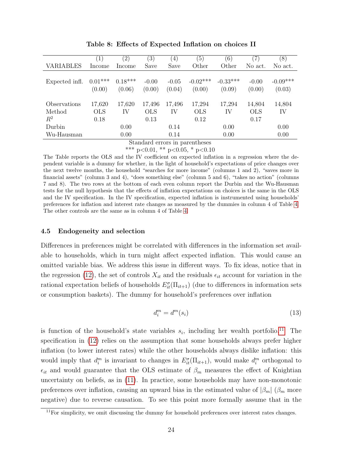<span id="page-25-1"></span>

|                | $\left(1\right)$ |               | $\left(3\right)$ |                  | $\left(5\right)$ | (6)        | $\left( 7\right)$ | $\left(8\right)$ |
|----------------|------------------|---------------|------------------|------------------|------------------|------------|-------------------|------------------|
|                |                  | $^{\prime}2)$ |                  | $\left(4\right)$ |                  |            |                   |                  |
| VARIABLES      | Income           | Income        | Save             | Save             | Other            | Other      | No act.           | No act.          |
|                |                  |               |                  |                  |                  |            |                   |                  |
| Expected infl. | $0.01***$        | $0.18***$     | $-0.00$          | $-0.05$          | $-0.02***$       | $-0.33***$ | $-0.00$           | $-0.09***$       |
|                | (0.00)           | (0.06)        | (0.00)           | (0.04)           | (0.00)           | (0.09)     | (0.00)            | (0.03)           |
| Observations   | 17,620           | 17,620        | 17,496           | 17,496           | 17,294           | 17,294     | 14,804            | 14,804           |
| Method         | <b>OLS</b>       | IV            | <b>OLS</b>       | IV               | <b>OLS</b>       | IV         | <b>OLS</b>        | IV               |
| $R^2$          | 0.18             |               | 0.13             |                  | 0.12             |            | 0.17              |                  |
| Durbin         |                  | 0.00          |                  | 0.14             |                  | 0.00       |                   | 0.00             |
| Wu-Hausman     |                  | 0.00          |                  | 0.14             |                  | 0.00       |                   | 0.00             |

Table 8: Effects of Expected Inflation on choices II

Standard errors in parentheses

\*\*\* p<0.01, \*\* p<0.05, \* p<0.10

The Table reports the OLS and the IV coefficient on expected inflation in a regression where the dependent variable is a dummy for whether, in the light of household's expectations of price changes over the next twelve months, the household "searches for more income" (columns 1 and 2), "saves more in financial assets" (column 3 and 4), "does something else" (column 5 and 6), "takes no action" (columns 7 and 8). The two rows at the bottom of each even column report the Durbin and the Wu-Hausman tests for the null hypothesis that the effects of inflation expectations on choices is the same in the OLS and the IV specification. In the IV specification, expected inflation is instrumented using households' preferences for inflation and interest rate changes as measured by the dummies in column 4 of Table [4.](#page-20-0) The other controls are the same as in column 4 of Table [4.](#page-20-0)

#### <span id="page-25-0"></span>4.5 Endogeneity and selection

Differences in preferences might be correlated with differences in the information set available to households, which in turn might affect expected inflation. This would cause an omitted variable bias. We address this issue in different ways. To fix ideas, notice that in the regression [\(12\)](#page-19-2), the set of controls  $X_{it}$  and the residuals  $\epsilon_{it}$  account for variation in the rational expectation beliefs of households  $E_{it}^{\sigma}(\Pi_{it+1})$  (due to differences in information sets or consumption baskets). The dummy for household's preferences over inflation

<span id="page-25-2"></span>
$$
d_i^m = d^m(s_i) \tag{13}
$$

is function of the household's state variables  $s_i$ , including her wealth portfolio.<sup>[11](#page-1-0)</sup> The specification in [\(12\)](#page-19-2) relies on the assumption that some households always prefer higher inflation (to lower interest rates) while the other households always dislike inflation: this would imply that  $d_i^m$  is invariant to changes in  $E_{it}^{\sigma}(\Pi_{it+1})$ , would make  $d_i^m$  orthogonal to  $\epsilon_{it}$  and would guarantee that the OLS estimate of  $\beta_m$  measures the effect of Knightian uncertainty on beliefs, as in [\(11\)](#page-10-1). In practice, some households may have non-monotonic preferences over inflation, causing an upward bias in the estimated value of  $|\beta_m|$  ( $\beta_m$  more negative) due to reverse causation. To see this point more formally assume that in the

 $11$ For simplicity, we omit discussing the dummy for household preferences over interest rates changes.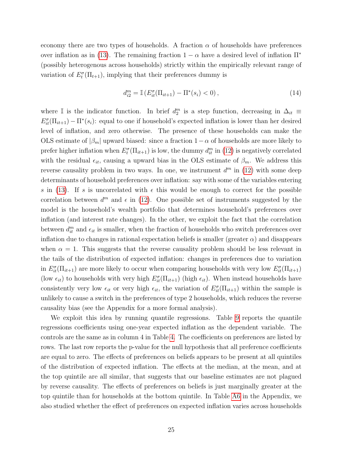economy there are two types of households. A fraction  $\alpha$  of households have preferences over inflation as in [\(13\)](#page-25-2). The remaining fraction  $1 - \alpha$  have a desired level of inflation  $\Pi^*$ (possibly heterogenous across households) strictly within the empirically relevant range of variation of  $E_t^{\sigma}(\Pi_{t+1})$ , implying that their preferences dummy is

$$
d_{i2}^{m} = \mathbb{I}\left(E_{it}^{\sigma}(\Pi_{it+1}) - \Pi^{*}(s_i) < 0\right),\tag{14}
$$

where I is the indicator function. In brief  $d_2^m$  is a step function, decreasing in  $\Delta_{it}$  $E_{it}^{\sigma}(\Pi_{it+1}) - \Pi^*(s_i)$ : equal to one if household's expected inflation is lower than her desired level of inflation, and zero otherwise. The presence of these households can make the OLS estimate of  $|\beta_m|$  upward biased: since a fraction  $1-\alpha$  of households are more likely to prefer higher inflation when  $E_t^{\sigma}(\Pi_{it+1})$  is low, the dummy  $d_{it}^m$  in [\(12\)](#page-19-2) is negatively correlated with the residual  $\epsilon_{it}$ , causing a upward bias in the OLS estimate of  $\beta_m$ . We address this reverse causality problem in two ways. In one, we instrument  $d^m$  in [\(12\)](#page-19-2) with some deep determinants of household preferences over inflation: say with some of the variables entering s in [\(13\)](#page-25-2). If s is uncorrelated with  $\epsilon$  this would be enough to correct for the possible correlation between  $d^m$  and  $\epsilon$  in [\(12\)](#page-19-2). One possible set of instruments suggested by the model is the household's wealth portfolio that determines household's preferences over inflation (and interest rate changes). In the other, we exploit the fact that the correlation between  $d_{it}^{m}$  and  $\epsilon_{it}$  is smaller, when the fraction of households who switch preferences over inflation due to changes in rational expectation beliefs is smaller (greater  $\alpha$ ) and disappears when  $\alpha = 1$ . This suggests that the reverse causality problem should be less relevant in the tails of the distribution of expected inflation: changes in preferences due to variation in  $E_{it}^{\sigma}(\Pi_{it+1})$  are more likely to occur when comparing households with very low  $E_{it}^{\sigma}(\Pi_{it+1})$ (low  $\epsilon_{it}$ ) to households with very high  $E_{it}^{\sigma}(\Pi_{it+1})$  (high  $\epsilon_{it}$ ). When instead households have consistently very low  $\epsilon_{it}$  or very high  $\epsilon_{it}$ , the variation of  $E_{it}^{\sigma}(\Pi_{it+1})$  within the sample is unlikely to cause a switch in the preferences of type 2 households, which reduces the reverse causality bias (see the Appendix for a more formal analysis).

We exploit this idea by running quantile regressions. Table [9](#page-27-0) reports the quantile regressions coefficients using one-year expected inflation as the dependent variable. The controls are the same as in column 4 in Table [4.](#page-20-0) The coefficients on preferences are listed by rows. The last row reports the p-value for the null hypothesis that all preference coefficients are equal to zero. The effects of preferences on beliefs appears to be present at all quintiles of the distribution of expected inflation. The effects at the median, at the mean, and at the top quintile are all similar, that suggests that our baseline estimates are not plagued by reverse causality. The effects of preferences on beliefs is just marginally greater at the top quintile than for households at the bottom quintile. In Table [A6](#page-47-0) in the Appendix, we also studied whether the effect of preferences on expected inflation varies across households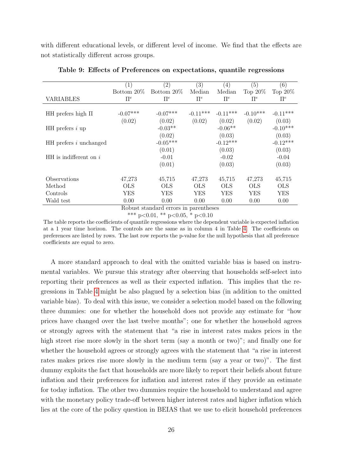with different educational levels, or different level of income. We find that the effects are not statistically different across groups.

<span id="page-27-0"></span>

|                          | (1)        | (2)                                   | (3)        | (4)        | (5)        | (6)        |
|--------------------------|------------|---------------------------------------|------------|------------|------------|------------|
|                          | Bottom 20% | Bottom $20\%$                         | Median     | Median     | Top $20\%$ | Top $20\%$ |
| <b>VARIABLES</b>         | $\Pi^e$    | $\Pi^e$                               | $\Pi^e$    | $\Pi^e$    | $\Pi^e$    | $\Pi^e$    |
|                          |            |                                       |            |            |            |            |
| HH prefers high $\Pi$    | $-0.07***$ | $-0.07***$                            | $-0.11***$ | $-0.11***$ | $-0.10***$ | $-0.11***$ |
|                          | (0.02)     | (0.02)                                | (0.02)     | (0.02)     | (0.02)     | (0.03)     |
| $HH$ prefers $i$ up      |            | $-0.03**$                             |            | $-0.06**$  |            | $-0.10***$ |
|                          |            | (0.02)                                |            | (0.03)     |            | (0.03)     |
| $HH$ prefers i unchanged |            | $-0.05***$                            |            | $-0.12***$ |            | $-0.12***$ |
|                          |            | (0.01)                                |            | (0.03)     |            | (0.03)     |
| $HH$ is indifferent on i |            | $-0.01$                               |            | $-0.02$    |            | $-0.04$    |
|                          |            | (0.01)                                |            | (0.03)     |            | (0.03)     |
|                          |            |                                       |            |            |            |            |
| Observations             | 47,273     | 45,715                                | 47,273     | 45,715     | 47,273     | 45,715     |
| Method                   | <b>OLS</b> | <b>OLS</b>                            | <b>OLS</b> | <b>OLS</b> | <b>OLS</b> | <b>OLS</b> |
| Controls                 | <b>YES</b> | <b>YES</b>                            | YES        | YES        | YES.       | YES        |
| Wald test                | 0.00       | 0.00                                  | 0.00       | 0.00       | 0.00       | 0.00       |
|                          |            | Robuet etandard errors in parentheses |            |            |            |            |

Table 9: Effects of Preferences on expectations, quantile regressions

Robust standard errors in parentheses

\*\*\* p<0.01, \*\* p<0.05, \* p<0.10

The table reports the coefficients of quantile regressions where the dependent variable is expected inflation at a 1 year time horizon. The controls are the same as in column 4 in Table [4.](#page-20-0) The coefficients on preferences are listed by rows. The last row reports the p-value for the null hypothesis that all preference coefficients are equal to zero.

A more standard approach to deal with the omitted variable bias is based on instrumental variables. We pursue this strategy after observing that households self-select into reporting their preferences as well as their expected inflation. This implies that the regressions in Table [4](#page-20-0) might be also plagued by a selection bias (in addition to the omitted variable bias). To deal with this issue, we consider a selection model based on the following three dummies: one for whether the household does not provide any estimate for "how prices have changed over the last twelve months"; one for whether the household agrees or strongly agrees with the statement that "a rise in interest rates makes prices in the high street rise more slowly in the short term (say a month or two)"; and finally one for whether the household agrees or strongly agrees with the statement that "a rise in interest rates makes prices rise more slowly in the medium term (say a year or two)". The first dummy exploits the fact that households are more likely to report their beliefs about future inflation and their preferences for inflation and interest rates if they provide an estimate for today inflation. The other two dummies require the household to understand and agree with the monetary policy trade-off between higher interest rates and higher inflation which lies at the core of the policy question in BEIAS that we use to elicit household preferences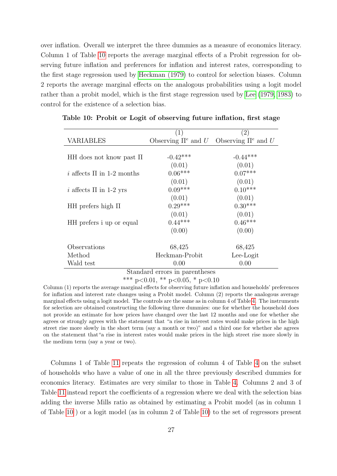over inflation. Overall we interpret the three dummies as a measure of economics literacy. Column 1 of Table [10](#page-28-0) reports the average marginal effects of a Probit regression for observing future inflation and preferences for inflation and interest rates, corresponding to the first stage regression used by [Heckman \(1979\)](#page-40-13) to control for selection biases. Column 2 reports the average marginal effects on the analogous probabilities using a logit model rather than a probit model, which is the first stage regression used by [Lee](#page-40-14) [\(1979,](#page-40-14) [1983\)](#page-40-15) to control for the existence of a selection bias.

|                                 | (1)                                                                                                      | $\left( 2\right)$                               |
|---------------------------------|----------------------------------------------------------------------------------------------------------|-------------------------------------------------|
| <b>VARIABLES</b>                |                                                                                                          | Observing $\Pi^e$ and U Observing $\Pi^e$ and U |
|                                 |                                                                                                          |                                                 |
| HH does not know past $\Pi$     | $-0.42***$                                                                                               | $-0.44***$                                      |
|                                 | (0.01)                                                                                                   | (0.01)                                          |
| $i$ affects $\Pi$ in 1-2 months | $0.06***$                                                                                                | $0.07***$                                       |
|                                 | (0.01)                                                                                                   | (0.01)                                          |
| i affects $\Pi$ in 1-2 yrs      | $0.09***$                                                                                                | $0.10***$                                       |
|                                 | (0.01)                                                                                                   | (0.01)                                          |
| HH prefers high $\Pi$           | $0.29***$                                                                                                | $0.30***$                                       |
|                                 | (0.01)                                                                                                   | (0.01)                                          |
| HH prefers i up or equal        | $0.44***$                                                                                                | $0.46***$                                       |
|                                 | (0.00)                                                                                                   | (0.00)                                          |
|                                 |                                                                                                          |                                                 |
| Observations                    | 68,425                                                                                                   | 68,425                                          |
| Method                          | Heckman-Probit                                                                                           | Lee-Logit                                       |
| Wald test                       | 0.00                                                                                                     | 0.00                                            |
|                                 | Standard errors in parentheses<br>المستقلد والمستنقص والمستنقص<br>والمناصب والمستحدث والمستنبذ والمتنازل |                                                 |

<span id="page-28-0"></span>Table 10: Probit or Logit of observing future inflation, first stage

\*\*\* p<0.01, \*\* p<0.05, \* p<0.10

Column (1) reports the average marginal effects for observing future inflation and households' preferences for inflation and interest rate changes using a Probit model. Column (2) reports the analogous average marginal effects using a logit model. The controls are the same as in column 4 of Table [4.](#page-20-0) The instruments for selection are obtained constructing the following three dummies: one for whether the household does not provide an estimate for how prices have changed over the last 12 months and one for whether she agrees or strongly agrees with the statement that "a rise in interest rates would make prices in the high street rise more slowly in the short term (say a month or two)" and a third one for whether she agrees on the statement that"a rise in interest rates would make prices in the high street rise more slowly in the medium term (say a year or two).

Columns 1 of Table [11](#page-29-0) repeats the regression of column 4 of Table [4](#page-20-0) on the subset of households who have a value of one in all the three previously described dummies for economics literacy. Estimates are very similar to those in Table [4.](#page-20-0) Columns 2 and 3 of Table [11](#page-29-0) instead report the coefficients of a regression where we deal with the selection bias adding the inverse Mills ratio as obtained by estimating a Probit model (as in column 1 of Table [10](#page-28-0) ) or a logit model (as in column 2 of Table [10\)](#page-28-0) to the set of regressors present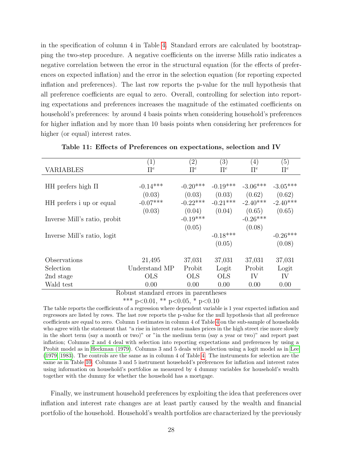in the specification of column 4 in Table [4.](#page-20-0) Standard errors are calculated by bootstrapping the two-step procedure. A negative coefficients on the inverse Mills ratio indicates a negative correlation between the error in the structural equation (for the effects of preferences on expected inflation) and the error in the selection equation (for reporting expected inflation and preferences). The last row reports the p-value for the null hypothesis that all preference coefficients are equal to zero. Overall, controlling for selection into reporting expectations and preferences increases the magnitude of the estimated coefficients on household's preferences: by around 4 basis points when considering household's preferences for higher inflation and by more than 10 basis points when considering her preferences for higher (or equal) interest rates.

<span id="page-29-0"></span>

|                              | $\left( 1\right)$ | $\left( 2\right)$ | $\left(3\right)$ | $\left(4\right)$ | (5)        |
|------------------------------|-------------------|-------------------|------------------|------------------|------------|
| <b>VARIABLES</b>             | $\Pi^e$           | $\prod e$         | $\prod e$        | $\Pi^e$          | $\Pi^e$    |
|                              |                   |                   |                  |                  |            |
| HH prefers high $\Pi$        | $-0.14***$        | $-0.20***$        | $-0.19***$       | $-3.06***$       | $-3.05***$ |
|                              | (0.03)            | (0.03)            | (0.03)           | (0.62)           | (0.62)     |
| HH prefers i up or equal     | $-0.07***$        | $-0.22***$        | $-0.21***$       | $-2.40***$       | $-2.40***$ |
|                              | (0.03)            | (0.04)            | (0.04)           | (0.65)           | (0.65)     |
| Inverse Mill's ratio, probit |                   | $-0.19***$        |                  | $-0.26***$       |            |
|                              |                   | (0.05)            |                  | (0.08)           |            |
| Inverse Mill's ratio, logit  |                   |                   | $-0.18***$       |                  | $-0.26***$ |
|                              |                   |                   | (0.05)           |                  | (0.08)     |
|                              |                   |                   |                  |                  |            |
| Observations                 | 21,495            | 37,031            | 37,031           | 37,031           | 37,031     |
| Selection                    | Understand MP     | Probit            | Logit            | Probit           | Logit      |
| 2nd stage                    | <b>OLS</b>        | <b>OLS</b>        | <b>OLS</b>       | IV               | IV         |
| Wald test                    | 0.00              | 0.00              | 0.00             | 0.00             | 0.00       |

Table 11: Effects of Preferences on expectations, selection and IV

Robust standard errors in parentheses

\*\*\* p<0.01, \*\* p<0.05, \* p<0.10

The table reports the coefficients of a regression where dependent variable is 1 year expected inflation and regressors are listed by rows. The last row reports the p-value for the null hypothesis that all preference coefficients are equal to zero. Column 1 estimates in column 4 of Table [4](#page-20-0) on the sub-sample of households who agree with the statement that "a rise in interest rates makes prices in the high street rise more slowly in the short term (say a month or two)" or "in the medium term (say a year or two)" and report past inflation; Columns 2 and 4 deal with selection into reporting expectations and preferences by using a Probit model as in [Heckman \(1979\)](#page-40-13). Columns 3 and 5 deals with selection using a logit model as in [Lee](#page-40-14) [\(1979,](#page-40-14) [1983\)](#page-40-15). The controls are the same as in column 4 of Table [4.](#page-20-0) The instruments for selection are the same as in Table [10.](#page-28-0) Columns 3 and 5 instrument household's preferences for inflation and interest rates using information on household's portfolios as measured by 4 dummy variables for household's wealth together with the dummy for whether the household has a mortgage.

Finally, we instrument household preferences by exploiting the idea that preferences over inflation and interest rate changes are at least partly caused by the wealth and financial portfolio of the household. Household's wealth portfolios are characterized by the previously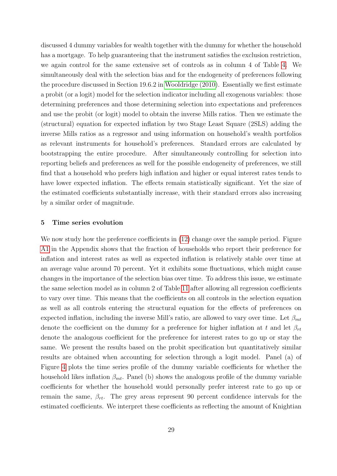discussed 4 dummy variables for wealth together with the dummy for whether the household has a mortgage. To help guaranteeing that the instrument satisfies the exclusion restriction, we again control for the same extensive set of controls as in column 4 of Table [4.](#page-20-0) We simultaneously deal with the selection bias and for the endogeneity of preferences following the procedure discussed in Section 19.6.2 in [Wooldridge \(2010\)](#page-41-10). Essentially we first estimate a probit (or a logit) model for the selection indicator including all exogenous variables: those determining preferences and those determining selection into expectations and preferences and use the probit (or logit) model to obtain the inverse Mills ratios. Then we estimate the (structural) equation for expected inflation by two Stage Least Square (2SLS) adding the inverse Mills ratios as a regressor and using information on household's wealth portfolios as relevant instruments for household's preferences. Standard errors are calculated by bootstrapping the entire procedure. After simultaneously controlling for selection into reporting beliefs and preferences as well for the possible endogeneity of preferences, we still find that a household who prefers high inflation and higher or equal interest rates tends to have lower expected inflation. The effects remain statistically significant. Yet the size of the estimated coefficients substantially increase, with their standard errors also increasing by a similar order of magnitude.

#### <span id="page-30-0"></span>5 Time series evolution

We now study how the preference coefficients in  $(12)$  change over the sample period. Figure [A1](#page-42-0) in the Appendix shows that the fraction of households who report their preference for inflation and interest rates as well as expected inflation is relatively stable over time at an average value around 70 percent. Yet it exhibits some fluctuations, which might cause changes in the importance of the selection bias over time. To address this issue, we estimate the same selection model as in column 2 of Table [11](#page-29-0) after allowing all regression coefficients to vary over time. This means that the coefficients on all controls in the selection equation as well as all controls entering the structural equation for the effects of preferences on expected inflation, including the inverse Mill's ratio, are allowed to vary over time. Let  $\beta_{mt}$ denote the coefficient on the dummy for a preference for higher inflation at t and let  $\beta_{rt}$ denote the analogous coefficient for the preference for interest rates to go up or stay the same. We present the results based on the probit specification but quantitatively similar results are obtained when accounting for selection through a logit model. Panel (a) of Figure [4](#page-31-0) plots the time series profile of the dummy variable coefficients for whether the household likes inflation  $\beta_{mt}$ . Panel (b) shows the analogous profile of the dummy variable coefficients for whether the household would personally prefer interest rate to go up or remain the same,  $\beta_{rt}$ . The grey areas represent 90 percent confidence intervals for the estimated coefficients. We interpret these coefficients as reflecting the amount of Knightian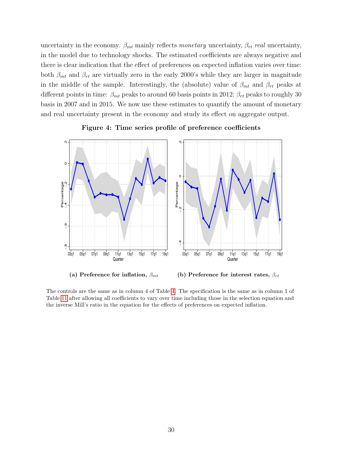uncertainty in the economy.  $\beta_{mt}$  mainly reflects monetary uncertainty,  $\beta_{rt}$  real uncertainty, in the model due to technology shocks. The estimated coefficients are always negative and there is clear indication that the effect of preferences on expected inflation varies over time: both  $\beta_{mt}$  and  $\beta_{rt}$  are virtually zero in the early 2000's while they are larger in magnitude in the middle of the sample. Interestingly, the (absolute) value of  $\beta_{mt}$  and  $\beta_{rt}$  peaks at different points in time:  $\beta_{mt}$  peaks to around 60 basis points in 2012;  $\beta_{rt}$  peaks to roughly 30 basis in 2007 and in 2015. We now use these estimates to quantify the amount of monetary and real uncertainty present in the economy and study its effect on aggregate output.

<span id="page-31-0"></span>



(b) Preference for interest rates,  $\beta_{rt}$ 

The controls are the same as in column 4 of Table [4.](#page-20-0) The specification is the same as in column 1 of Table [11](#page-29-0) after allowing all coefficients to vary over time including those in the selection equation and the inverse Mill's ratio in the equation for the effects of preferences on expected inflation.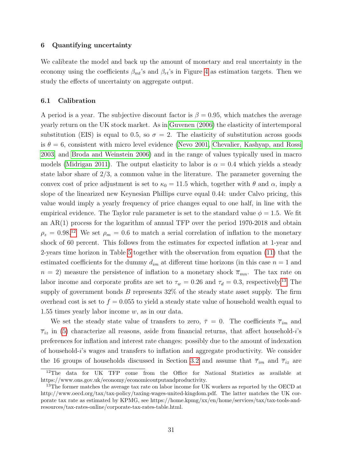#### <span id="page-32-0"></span>6 Quantifying uncertainty

We calibrate the model and back up the amount of monetary and real uncertainty in the economy using the coefficients  $\beta_{mt}$ 's and  $\beta_{rt}$ 's in Figure [4](#page-31-0) as estimation targets. Then we study the effects of uncertainty on aggregate output.

#### <span id="page-32-1"></span>6.1 Calibration

A period is a year. The subjective discount factor is  $\beta = 0.95$ , which matches the average yearly return on the UK stock market. As in [Guvenen \(2006\)](#page-40-16) the elasticity of intertemporal substitution (EIS) is equal to 0.5, so  $\sigma = 2$ . The elasticity of substitution across goods is  $\theta = 6$ , consistent with micro level evidence [\(Nevo 2001,](#page-41-11) [Chevalier, Kashyap, and Rossi](#page-39-13) [2003,](#page-39-13) and [Broda and Weinstein 2006\)](#page-39-14) and in the range of values typically used in macro models [\(Midrigan 2011\)](#page-41-12). The output elasticity to labor is  $\alpha = 0.4$  which yields a steady state labor share of  $2/3$ , a common value in the literature. The parameter governing the convex cost of price adjustment is set to  $\kappa_0 = 11.5$  which, together with  $\theta$  and  $\alpha$ , imply a slope of the linearized new Keynesian Phillips curve equal 0.44: under Calvo pricing, this value would imply a yearly frequency of price changes equal to one half, in line with the empirical evidence. The Taylor rule parameter is set to the standard value  $\phi = 1.5$ . We fit an AR(1) process for the logarithm of annual TFP over the period 1970-2018 and obtain  $\rho_z = 0.98^{12}$  $\rho_z = 0.98^{12}$  $\rho_z = 0.98^{12}$  We set  $\rho_m = 0.6$  to match a serial correlation of inflation to the monetary shock of 60 percent. This follows from the estimates for expected inflation at 1-year and 2-years time horizon in Table [5](#page-22-1) together with the observation from equation [\(11\)](#page-10-1) that the estimated coefficients for the dummy  $d_{im}$  at different time horizons (in this case  $n = 1$  and  $n = 2$ ) measure the persistence of inflation to a monetary shock  $\bar{\pi}_{mn}$ . The tax rate on labor income and corporate profits are set to  $\tau_w = 0.26$  and  $\tau_d = 0.3$ , respectively.<sup>[13](#page-1-0)</sup> The supply of government bonds  $B$  represents  $32\%$  of the steady state asset supply. The firm overhead cost is set to  $f = 0.055$  to yield a steady state value of household wealth equal to 1.55 times yearly labor income  $w$ , as in our data.

We set the steady state value of transfers to zero,  $\bar{\tau} = 0$ . The coefficients  $\bar{\tau}_{im}$  and  $\overline{\tau}_{iz}$  in [\(5\)](#page-7-1) characterize all reasons, aside from financial returns, that affect household-i's preferences for inflation and interest rate changes: possibly due to the amount of indexation of household-i's wages and transfers to inflation and aggregate productivity. We consider the 16 groups of households discussed in Section [3.2](#page-15-1) and assume that  $\bar{\tau}_{im}$  and  $\bar{\tau}_{iz}$  are

<sup>12</sup>The data for UK TFP come from the Office for National Statistics as available at https://www.ons.gov.uk/economy/economicoutputandproductivity.

<sup>&</sup>lt;sup>13</sup>The former matches the average tax rate on labor income for UK workers as reported by the OECD at http://www.oecd.org/tax/tax-policy/taxing-wages-united-kingdom.pdf. The latter matches the UK corporate tax rate as estimated by KPMG, see https://home.kpmg/xx/en/home/services/tax/tax-tools-andresources/tax-rates-online/corporate-tax-rates-table.html.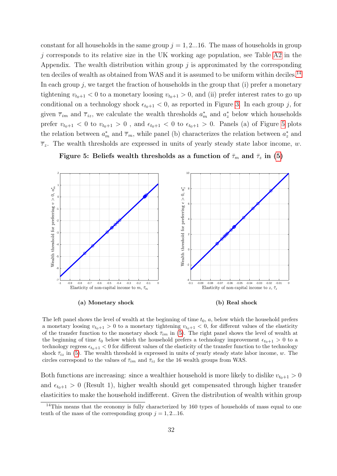constant for all households in the same group  $j = 1, 2...16$ . The mass of households in group  $j$  corresponds to its relative size in the UK working age population, see Table [A2](#page-44-0) in the Appendix. The wealth distribution within group  $j$  is approximated by the corresponding ten deciles of wealth as obtained from WAS and it is assumed to be uniform within deciles.<sup>[14](#page-1-0)</sup> In each group  $i$ , we target the fraction of households in the group that (i) prefer a monetary tightening  $v_{t_0+1} < 0$  to a monetary loosing  $v_{t_0+1} > 0$ , and (ii) prefer interest rates to go up conditional on a technology shock  $\epsilon_{t_0+1} < 0$ , as reported in Figure [3.](#page-16-0) In each group j, for given  $\bar{\tau}_{im}$  and  $\bar{\tau}_{iz}$ , we calculate the wealth thresholds  $a_m^*$  and  $a_z^*$  below which households prefer  $v_{t_0+1} < 0$  to  $v_{t_0+1} > 0$ , and  $\epsilon_{t_0+1} < 0$  to  $\epsilon_{t_0+1} > 0$ . Panels (a) of Figure [5](#page-33-0) plots the relation between  $a_m^*$  and  $\overline{\tau}_m$ , while panel (b) characterizes the relation between  $a_z^*$  and  $\overline{\tau}_z$ . The wealth thresholds are expressed in units of yearly steady state labor income, w.

<span id="page-33-0"></span>

Figure 5: Beliefs wealth thresholds as a function of  $\bar{\tau}_m$  and  $\bar{\tau}_z$  in [\(5\)](#page-7-1)

The left panel shows the level of wealth at the beginning of time  $t_0$ ,  $a$ , below which the household prefers a monetary loosing  $v_{t_0+1} > 0$  to a monetary tightening  $v_{t_0+1} < 0$ , for different values of the elasticity of the transfer function to the monetary shock  $\bar{\tau}_{im}$  in [\(5\)](#page-7-1). The right panel shows the level of wealth at the beginning of time  $t_0$  below which the household prefers a technology improvement  $\epsilon_{t_0+1} > 0$  to a technology regress  $\epsilon_{t_0+1} < 0$  for different values of the elasticity of the transfer function to the technology shock  $\bar{\tau}_{iz}$  in [\(5\)](#page-7-1). The wealth threshold is expressed in units of yearly steady state labor income, w. The circles correspond to the values of  $\bar{\tau}_{im}$  and  $\bar{\tau}_{iz}$  for the 16 wealth groups from WAS.

Both functions are increasing: since a wealthier household is more likely to dislike  $v_{t_0+1} > 0$ and  $\epsilon_{t_0+1} > 0$  (Result 1), higher wealth should get compensated through higher transfer elasticities to make the household indifferent. Given the distribution of wealth within group

 $14$ This means that the economy is fully characterized by 160 types of households of mass equal to one tenth of the mass of the corresponding group  $j = 1, 2...16$ .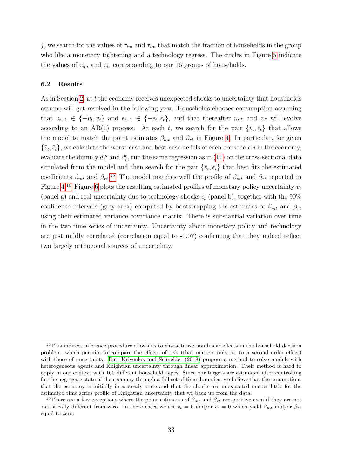j, we search for the values of  $\bar{\tau}_{im}$  and  $\bar{\tau}_{im}$  that match the fraction of households in the group who like a monetary tightening and a technology regress. The circles in Figure [5](#page-33-0) indicate the values of  $\bar{\tau}_{im}$  and  $\bar{\tau}_{iz}$  corresponding to our 16 groups of households.

#### 6.2 Results

As in Section [2,](#page-6-0) at t the economy receives unexpected shocks to uncertainty that households assume will get resolved in the following year. Households chooses consumption assuming that  $v_{t+1} \in \{-\overline{v}_t, \overline{v}_t\}$  and  $\epsilon_{t+1} \in \{-\overline{\epsilon}_t, \overline{\epsilon}_t\}$ , and that thereafter  $m_T$  and  $z_T$  will evolve according to an AR(1) process. At each t, we search for the pair  $\{\bar{v}_t, \bar{\epsilon}_t\}$  that allows the model to match the point estimates  $\beta_{mt}$  and  $\beta_{rt}$  in Figure [4.](#page-31-0) In particular, for given  $\{\bar{v}_t, \bar{\epsilon}_t\}$ , we calculate the worst-case and best-case beliefs of each household i in the economy, evaluate the dummy  $d_i^m$  and  $d_i^r$ , run the same regression as in [\(11\)](#page-10-1) on the cross-sectional data simulated from the model and then search for the pair  $\{\bar{v}_t, \bar{\epsilon}_t\}$  that best fits the estimated coefficients  $\beta_{mt}$  and  $\beta_{rt}$ <sup>[15](#page-1-0)</sup>. The model matches well the profile of  $\beta_{mt}$  and  $\beta_{rt}$  reported in Figure [4.](#page-31-0)<sup>[16](#page-1-0)</sup> Figure [6](#page-35-0) plots the resulting estimated profiles of monetary policy uncertainty  $\bar{v}_t$ (panel a) and real uncertainty due to technology shocks  $\bar{\epsilon}_t$  (panel b), together with the 90% confidence intervals (grey area) computed by bootstrapping the estimates of  $\beta_{mt}$  and  $\beta_{rt}$ using their estimated variance covariance matrix. There is substantial variation over time in the two time series of uncertainty. Uncertainty about monetary policy and technology are just mildly correlated (correlation equal to -0.07) confirming that they indeed reflect two largely orthogonal sources of uncertainty.

<sup>&</sup>lt;sup>15</sup>This indirect inference procedure allows us to characterize non linear effects in the household decision problem, which permits to compare the effects of risk (that matters only up to a second order effect) with those of uncertainty. [Ilut, Krivenko, and Schneider \(2018\)](#page-40-11) propose a method to solve models with heterogeneous agents and Knightian uncertainty through linear approximation. Their method is hard to apply in our context with 160 different household types. Since our targets are estimated after controlling for the aggregate state of the economy through a full set of time dummies, we believe that the assumptions that the economy is initially in a steady state and that the shocks are unexpected matter little for the estimated time series profile of Knightian uncertainty that we back up from the data.

<sup>&</sup>lt;sup>16</sup>There are a few exceptions where the point estimates of  $\beta_{mt}$  and  $\beta_{rt}$  are positive even if they are not statistically different from zero. In these cases we set  $\bar{v}_t = 0$  and/or  $\bar{\epsilon}_t = 0$  which yield  $\beta_{mt}$  and/or  $\beta_{rt}$ equal to zero.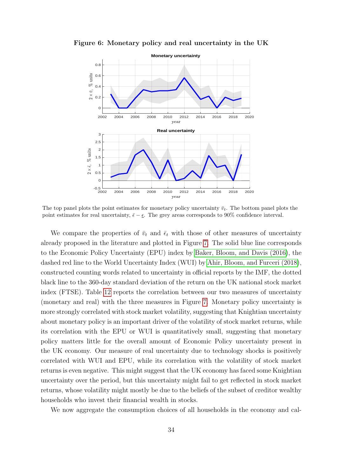

<span id="page-35-0"></span>Figure 6: Monetary policy and real uncertainty in the UK

The top panel plots the point estimates for monetary policy uncertainty  $\bar{v}_t$ . The bottom panel plots the point estimates for real uncertainty,  $\bar{\epsilon} - \epsilon$ . The grey areas corresponds to 90% confidence interval.

We compare the properties of  $\bar{v}_t$  and  $\bar{\epsilon}_t$  with those of other measures of uncertainty already proposed in the literature and plotted in Figure [7.](#page-36-0) The solid blue line corresponds to the Economic Policy Uncertainty (EPU) index by [Baker, Bloom, and Davis \(2016\)](#page-39-4), the dashed red line to the World Uncertainty Index (WUI) by [Ahir, Bloom, and Furceri \(2018\)](#page-39-3), constructed counting words related to uncertainty in official reports by the IMF, the dotted black line to the 360-day standard deviation of the return on the UK national stock market index (FTSE). Table [12](#page-36-1) reports the correlation between our two measures of uncertainty (monetary and real) with the three measures in Figure [7.](#page-36-0) Monetary policy uncertainty is more strongly correlated with stock market volatility, suggesting that Knightian uncertainty about monetary policy is an important driver of the volatility of stock market returns, while its correlation with the EPU or WUI is quantitatively small, suggesting that monetary policy matters little for the overall amount of Economic Policy uncertainty present in the UK economy. Our measure of real uncertainty due to technology shocks is positively correlated with WUI and EPU, while its correlation with the volatility of stock market returns is even negative. This might suggest that the UK economy has faced some Knightian uncertainty over the period, but this uncertainty might fail to get reflected in stock market returns, whose volatility might mostly be due to the beliefs of the subset of creditor wealthy households who invest their financial wealth in stocks.

We now aggregate the consumption choices of all households in the economy and cal-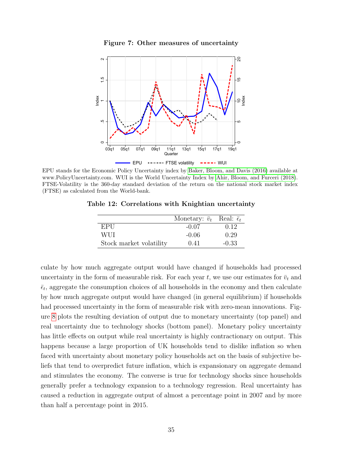Figure 7: Other measures of uncertainty

<span id="page-36-0"></span>

<span id="page-36-1"></span>EPU stands for the Economic Policy Uncertainty index by [Baker, Bloom, and Davis \(2016\)](#page-39-4) available at www.PolicyUncertainty.com. WUI is the World Uncertainty Index by [Ahir, Bloom, and Furceri \(2018\)](#page-39-3). FTSE-Volatility is the 360-day standard deviation of the return on the national stock market index (FTSE) as calculated from the World-bank.

| Table 12: Correlations with Knightian uncertainty |  |  |  |
|---------------------------------------------------|--|--|--|
|---------------------------------------------------|--|--|--|

|                         | Monetary: $\bar{v}_t$ Real: $\bar{\epsilon}_t$ |         |
|-------------------------|------------------------------------------------|---------|
| EPU                     | $-0.07$                                        | 0.12    |
| WUL                     | $-0.06$                                        | 0.29    |
| Stock market volatility | 0.41                                           | $-0.33$ |

culate by how much aggregate output would have changed if households had processed uncertainty in the form of measurable risk. For each year t, we use our estimates for  $\bar{v}_t$  and  $\bar{\epsilon}_t$ , aggregate the consumption choices of all households in the economy and then calculate by how much aggregate output would have changed (in general equilibrium) if households had processed uncertainty in the form of measurable risk with zero-mean innovations. Figure [8](#page-37-1) plots the resulting deviation of output due to monetary uncertainty (top panel) and real uncertainty due to technology shocks (bottom panel). Monetary policy uncertainty has little effects on output while real uncertainty is highly contractionary on output. This happens because a large proportion of UK households tend to dislike inflation so when faced with uncertainty about monetary policy households act on the basis of subjective beliefs that tend to overpredict future inflation, which is expansionary on aggregate demand and stimulates the economy. The converse is true for technology shocks since households generally prefer a technology expansion to a technology regression. Real uncertainty has caused a reduction in aggregate output of almost a percentage point in 2007 and by more than half a percentage point in 2015.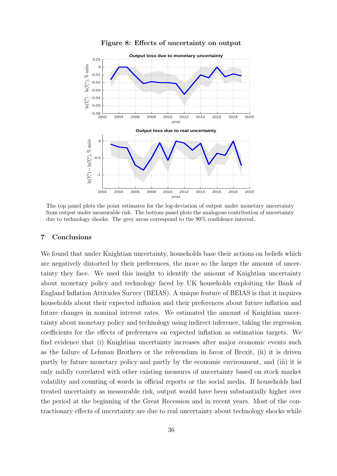<span id="page-37-1"></span>

Figure 8: Effects of uncertainty on output

The top panel plots the point estimates for the log-deviation of output under monetary uncertainty from output under measurable risk. The bottom panel plots the analogous contribution of uncertainty due to technology shocks. The grey areas correspond to the 90% confidence interval.

#### <span id="page-37-0"></span>7 Conclusions

We found that under Knightian uncertainty, households base their actions on beliefs which are negatively distorted by their preferences, the more so the larger the amount of uncertainty they face. We used this insight to identify the amount of Knightian uncertainty about monetary policy and technology faced by UK households exploiting the Bank of England Inflation Attitudes Survey (BEIAS). A unique feature of BEIAS is that it inquires households about their expected inflation and their preferences about future inflation and future changes in nominal interest rates. We estimated the amount of Knightian uncertainty about monetary policy and technology using indirect inference, taking the regression coefficients for the effects of preferences on expected inflation as estimation targets. We find evidence that (i) Knightian uncertainty increases after major economic events such as the failure of Lehman Brothers or the referendum in favor of Brexit, (ii) it is driven partly by future monetary policy and partly by the economic environment, and (iii) it is only mildly correlated with other existing measures of uncertainty based on stock market volatility and counting of words in official reports or the social media. If households had treated uncertainty as measurable risk, output would have been substantially higher over the period at the beginning of the Great Recession and in recent years. Most of the contractionary effects of uncertainty are due to real uncertainty about technology shocks while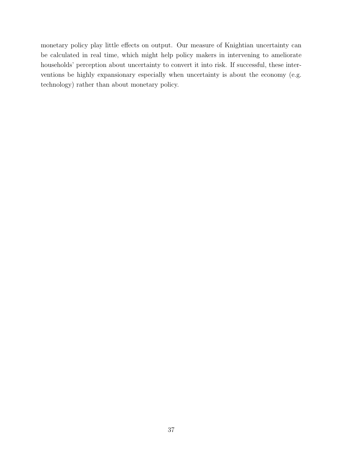monetary policy play little effects on output. Our measure of Knightian uncertainty can be calculated in real time, which might help policy makers in intervening to ameliorate households' perception about uncertainty to convert it into risk. If successful, these interventions be highly expansionary especially when uncertainty is about the economy (e.g. technology) rather than about monetary policy.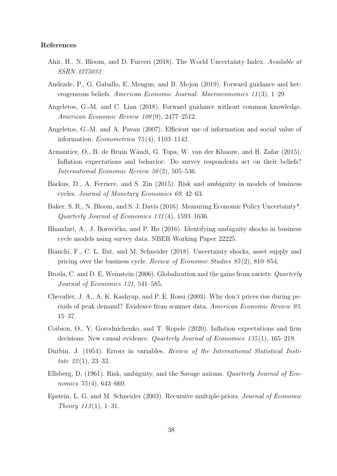#### References

- <span id="page-39-3"></span>Ahir, H., N. Bloom, and D. Furceri (2018). The World Uncertainty Index. Available at SSRN 3275033 .
- <span id="page-39-7"></span>Andrade, P., G. Gaballo, E. Mengus, and B. Mojon (2019). Forward guidance and heterogeneous beliefs. American Economic Journal: Macroeconomics 11 (3), 1–29.
- <span id="page-39-6"></span>Angeletos, G.-M. and C. Lian (2018). Forward guidance without common knowledge. American Economic Review 108 (9), 2477–2512.
- <span id="page-39-5"></span>Angeletos, G.-M. and A. Pavan (2007). Efficient use of information and social value of information. *Econometrica*  $75(4)$ , 1103-1142.
- <span id="page-39-1"></span>Armantier, O., B. de Bruin W¨andi, G. Topa, W. van der Klaauw, and B. Zafar (2015). Inflation expectations and behavior: Do survey respondents act on their beliefs? International Economic Review 56 (2), 505–536.
- <span id="page-39-11"></span>Backus, D., A. Ferriere, and S. Zin (2015). Risk and ambiguity in models of business cycles. Journal of Monetary Economics 69, 42–63.
- <span id="page-39-4"></span>Baker, S. R., N. Bloom, and S. J. Davis (2016). Measuring Economic Policy Uncertainty\*. Quarterly Journal of Economics 131 (4), 1593–1636.
- <span id="page-39-10"></span>Bhandari, A., J. Borovička, and P. Ho (2016). Identifying ambiguity shocks in business cycle models using survey data. NBER Working Paper 22225.
- <span id="page-39-9"></span>Bianchi, F., C. L. Ilut, and M. Schneider (2018). Uncertainty shocks, asset supply and pricing over the business cycle. Review of Economic Studies 85 (2), 810–854.
- <span id="page-39-14"></span>Broda, C. and D. E. Weinstein (2006). Globalization and the gains from variety. *Quarterly* Journal of Economics 121, 541–585.
- <span id="page-39-13"></span>Chevalier, J. A., A. K. Kashyap, and P. E. Rossi (2003). Why don't prices rise during periods of peak demand? Evidence from scanner data. American Economic Review 93, 15–37.
- <span id="page-39-2"></span>Coibion, O., Y. Gorodnichenko, and T. Ropele (2020). Inflation expectations and firm decisions: New causal evidence. Quarterly Journal of Economics 135 (1), 165–219.
- <span id="page-39-12"></span>Durbin, J. (1954). Errors in variables. Review of the International Statistical Institute  $22(1)$ , 23-32.
- <span id="page-39-8"></span>Ellsberg, D. (1961). Risk, ambiguity, and the Savage axioms. Quarterly Journal of Economics 75(4), 643–669.
- <span id="page-39-0"></span>Epstein, L. G. and M. Schneider (2003). Recursive multiple-priors. Journal of Economic Theory  $113(1)$ , 1–31.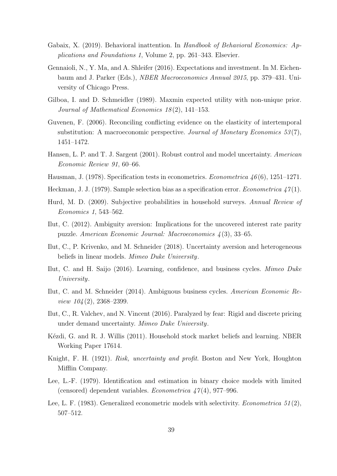- <span id="page-40-6"></span>Gabaix, X. (2019). Behavioral inattention. In Handbook of Behavioral Economics: Applications and Foundations 1, Volume 2, pp. 261–343. Elsevier.
- <span id="page-40-5"></span>Gennaioli, N., Y. Ma, and A. Shleifer (2016). Expectations and investment. In M. Eichenbaum and J. Parker (Eds.), NBER Macroeconomics Annual 2015, pp. 379–431. University of Chicago Press.
- <span id="page-40-1"></span>Gilboa, I. and D. Schmeidler (1989). Maxmin expected utility with non-unique prior. Journal of Mathematical Economics 18 (2), 141–153.
- <span id="page-40-16"></span>Guvenen, F. (2006). Reconciling conflicting evidence on the elasticity of intertemporal substitution: A macroeconomic perspective. Journal of Monetary Economics  $53(7)$ , 1451–1472.
- <span id="page-40-2"></span>Hansen, L. P. and T. J. Sargent (2001). Robust control and model uncertainty. American Economic Review 91, 60–66.
- <span id="page-40-12"></span>Hausman, J. (1978). Specification tests in econometrics. *Econometrica* 46(6), 1251–1271.
- <span id="page-40-13"></span>Heckman, J. J. (1979). Sample selection bias as a specification error. *Econometrica*  $\chi^2(1)$ .
- <span id="page-40-3"></span>Hurd, M. D. (2009). Subjective probabilities in household surveys. Annual Review of Economics 1, 543–562.
- <span id="page-40-8"></span>Ilut, C. (2012). Ambiguity aversion: Implications for the uncovered interest rate parity puzzle. American Economic Journal: Macroeconomics 4 (3), 33–65.
- <span id="page-40-11"></span>Ilut, C., P. Krivenko, and M. Schneider (2018). Uncertainty aversion and heterogeneous beliefs in linear models. Mimeo Duke University.
- <span id="page-40-9"></span>Ilut, C. and H. Saijo (2016). Learning, confidence, and business cycles. Mimeo Duke University.
- <span id="page-40-7"></span>Ilut, C. and M. Schneider (2014). Ambiguous business cycles. American Economic Re*view*  $104(2)$ ,  $2368-2399$ .
- <span id="page-40-10"></span>Ilut, C., R. Valchev, and N. Vincent (2016). Paralyzed by fear: Rigid and discrete pricing under demand uncertainty. Mimeo Duke University.
- <span id="page-40-4"></span>Kézdi, G. and R. J. Willis (2011). Household stock market beliefs and learning. NBER Working Paper 17614.
- <span id="page-40-0"></span>Knight, F. H. (1921). Risk, uncertainty and profit. Boston and New York, Houghton Mifflin Company.
- <span id="page-40-14"></span>Lee, L.-F. (1979). Identification and estimation in binary choice models with limited (censored) dependent variables. *Econometrica*  $47(4)$ , 977–996.
- <span id="page-40-15"></span>Lee, L. F. (1983). Generalized econometric models with selectivity. *Econometrica*  $51(2)$ , 507–512.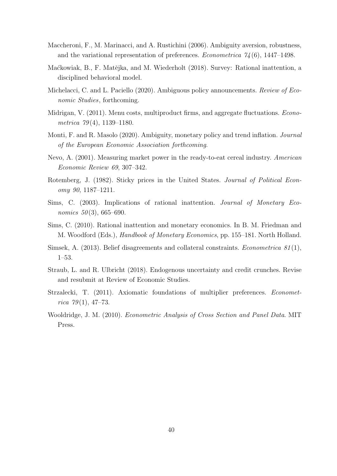- <span id="page-41-1"></span>Maccheroni, F., M. Marinacci, and A. Rustichini (2006). Ambiguity aversion, robustness, and the variational representation of preferences. *Econometrica*  $74(6)$ , 1447–1498.
- <span id="page-41-4"></span>Maćkowiak, B., F. Matějka, and M. Wiederholt (2018). Survey: Rational inattention, a disciplined behavioral model.
- <span id="page-41-8"></span>Michelacci, C. and L. Paciello (2020). Ambiguous policy announcements. Review of Economic Studies, forthcoming.
- <span id="page-41-12"></span>Midrigan, V. (2011). Menu costs, multiproduct firms, and aggregate fluctuations. *Econo*metrica 79(4), 1139–1180.
- <span id="page-41-7"></span>Monti, F. and R. Masolo (2020). Ambiguity, monetary policy and trend inflation. Journal of the European Economic Association forthcoming.
- <span id="page-41-11"></span>Nevo, A. (2001). Measuring market power in the ready-to-eat cereal industry. American Economic Review 69, 307–342.
- <span id="page-41-9"></span>Rotemberg, J. (1982). Sticky prices in the United States. Journal of Political Economy 90, 1187–1211.
- <span id="page-41-2"></span>Sims, C. (2003). Implications of rational inattention. Journal of Monetary Economics  $50(3)$ , 665–690.
- <span id="page-41-3"></span>Sims, C. (2010). Rational inattention and monetary economics. In B. M. Friedman and M. Woodford (Eds.), Handbook of Monetary Economics, pp. 155–181. North Holland.
- <span id="page-41-5"></span>Simsek, A. (2013). Belief disagreements and collateral constraints. *Econometrica*  $81(1)$ . 1–53.
- <span id="page-41-6"></span>Straub, L. and R. Ulbricht (2018). Endogenous uncertainty and credit crunches. Revise and resubmit at Review of Economic Studies.
- <span id="page-41-0"></span>Strzalecki, T. (2011). Axiomatic foundations of multiplier preferences. Econometrica  $79(1)$ , 47–73.
- <span id="page-41-10"></span>Wooldridge, J. M. (2010). Econometric Analysis of Cross Section and Panel Data. MIT Press.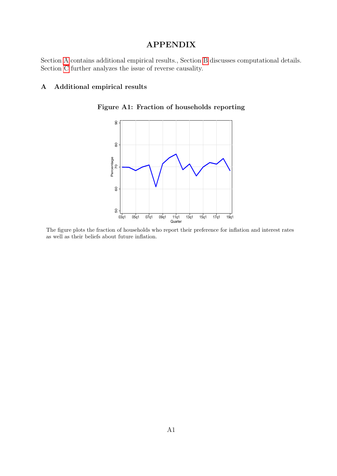## APPENDIX

Section [A](#page-42-1) contains additional empirical results., Section [B](#page-48-0) discusses computational details. Section [C](#page-52-0) further analyzes the issue of reverse causality.

#### <span id="page-42-1"></span><span id="page-42-0"></span>A Additional empirical results



Figure A1: Fraction of households reporting

The figure plots the fraction of households who report their preference for inflation and interest rates as well as their beliefs about future inflation.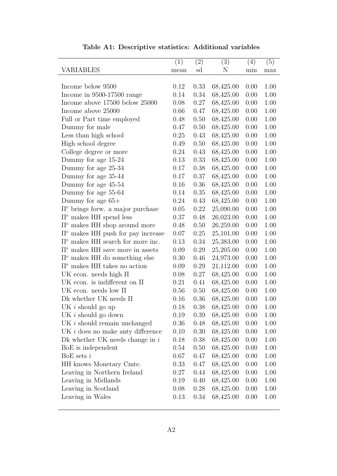<span id="page-43-0"></span>

|                                          | (1)  | (2)  | (3)       | (4)  | (5)  |
|------------------------------------------|------|------|-----------|------|------|
| VARIABLES                                | mean | sd   | N         | min  | max  |
|                                          |      |      |           |      |      |
| Income below 9500                        | 0.12 | 0.33 | 68,425.00 | 0.00 | 1.00 |
| Income in 9500-17500 range               | 0.14 | 0.34 | 68,425.00 | 0.00 | 1.00 |
| Income above 17500 below 25000           | 0.08 | 0.27 | 68,425.00 | 0.00 | 1.00 |
| Income above 25000                       | 0.66 | 0.47 | 68,425.00 | 0.00 | 1.00 |
| Full or Part time employed               | 0.48 | 0.50 | 68,425.00 | 0.00 | 1.00 |
| Dummy for male                           | 0.47 | 0.50 | 68,425.00 | 0.00 | 1.00 |
| Less than high school                    | 0.25 | 0.43 | 68,425.00 | 0.00 | 1.00 |
| High school degree                       | 0.49 | 0.50 | 68,425.00 | 0.00 | 1.00 |
| College degree or more                   | 0.24 | 0.43 | 68,425.00 | 0.00 | 1.00 |
| Dummy for age 15-24                      | 0.13 | 0.33 | 68,425.00 | 0.00 | 1.00 |
| Dummy for age 25-34                      | 0.17 | 0.38 | 68,425.00 | 0.00 | 1.00 |
| Dummy for age 35-44                      | 0.17 | 0.37 | 68,425.00 | 0.00 | 1.00 |
| Dummy for age 45-54                      | 0.16 | 0.36 | 68,425.00 | 0.00 | 1.00 |
| Dummy for age 55-64                      | 0.14 | 0.35 | 68,425.00 | 0.00 | 1.00 |
| Dummy for age 65+                        | 0.24 | 0.43 | 68,425.00 | 0.00 | 1.00 |
| $\Pi^e$ brings forw. a major purchase    | 0.05 | 0.22 | 25,090.00 | 0.00 | 1.00 |
| $\Pi^e$ makes HH spend less              | 0.37 | 0.48 | 26,023.00 | 0.00 | 1.00 |
| $\Pi^e$ makes HH shop around more        | 0.48 | 0.50 | 26,259.00 | 0.00 | 1.00 |
| $\Pi^e$ makes HH push for pay increase   | 0.07 | 0.25 | 25,101.00 | 0.00 | 1.00 |
| $\Pi^e$ makes HH search for more inc.    | 0.13 | 0.34 | 25,383.00 | 0.00 | 1.00 |
| $\Pi^e$ makes HH save more in assets     | 0.09 | 0.29 | 25,205.00 | 0.00 | 1.00 |
| $\Pi^e$ makes HH do something else       | 0.30 | 0.46 | 24,973.00 | 0.00 | 1.00 |
| $\Pi^e$ makes HH takes no action         | 0.09 | 0.29 | 21,112.00 | 0.00 | 1.00 |
| UK econ. needs high $\Pi$                | 0.08 | 0.27 | 68,425.00 | 0.00 | 1.00 |
| UK econ. is indifferent on $\Pi$         | 0.21 | 0.41 | 68,425.00 | 0.00 | 1.00 |
| UK econ. needs low $\Pi$                 | 0.56 | 0.50 | 68,425.00 | 0.00 | 1.00 |
| Dk whether UK needs $\Pi$                | 0.16 | 0.36 | 68,425.00 | 0.00 | 1.00 |
| UK <i>i</i> should go up                 | 0.18 | 0.38 | 68,425.00 | 0.00 | 1.00 |
| UK <i>i</i> should go down               | 0.19 | 0.39 | 68,425.00 | 0.00 | 1.00 |
| UK <i>i</i> should remain unchanged      | 0.36 | 0.48 | 68,425.00 | 0.00 | 1.00 |
| UK <i>i</i> does no make anty difference | 0.10 | 0.30 | 68,425.00 | 0.00 | 1.00 |
| Dk whether UK needs change in $i$        | 0.18 | 0.38 | 68,425.00 | 0.00 | 1.00 |
| BoE is independent                       | 0.54 | 0.50 | 68,425.00 | 0.00 | 1.00 |
| BoE sets $i$                             | 0.67 | 0.47 | 68,425.00 | 0.00 | 1.00 |
| HH knows Monetary Cmte.                  | 0.33 | 0.47 | 68,425.00 | 0.00 | 1.00 |
| Leaving in Northern Ireland              | 0.27 | 0.44 | 68,425.00 | 0.00 | 1.00 |
| Leaving in Midlands                      | 0.19 | 0.40 | 68,425.00 | 0.00 | 1.00 |
| Leaving in Scotland                      | 0.08 | 0.28 | 68,425.00 | 0.00 | 1.00 |
| Leaving in Wales                         | 0.13 | 0.34 | 68,425.00 | 0.00 | 1.00 |
|                                          |      |      |           |      |      |

|  | Table A1: Descriptive statistics: Additional variables |  |  |  |
|--|--------------------------------------------------------|--|--|--|
|--|--------------------------------------------------------|--|--|--|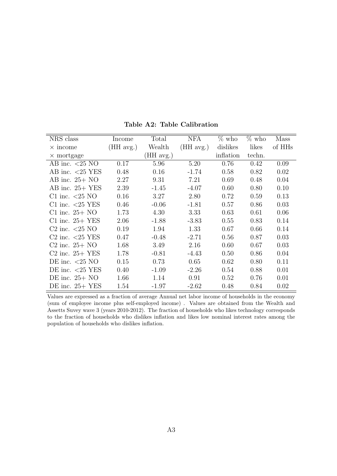<span id="page-44-0"></span>

| NRS class                                            | Income    | Total     | NFA         | $\%$ who  | $\%$ who | Mass               |
|------------------------------------------------------|-----------|-----------|-------------|-----------|----------|--------------------|
| $\times$ income                                      | (HH avg.) | Wealth    | $(HH$ avg.) | dislikes  | likes    | of HH <sub>s</sub> |
| $\times$ mortgage                                    |           | (HH avg.) |             | inflation | techn.   |                    |
| AB inc. $\langle 25 \text{ NO}$                      | 0.17      | 5.96      | 5.20        | 0.76      | 0.42     | 0.09               |
| AB inc. $<25$ YES                                    | 0.48      | 0.16      | $-1.74$     | 0.58      | 0.82     | 0.02               |
| AB inc. $25+NO$                                      | 2.27      | 9.31      | 7.21        | 0.69      | 0.48     | 0.04               |
| AB inc. $25+$ YES                                    | 2.39      | $-1.45$   | $-4.07$     | 0.60      | 0.80     | 0.10               |
| C1 inc. $\langle 25 \text{ NO}$                      | 0.16      | 3.27      | 2.80        | 0.72      | 0.59     | 0.13               |
| C1 inc. $\langle 25 \text{ YES} \rangle$             | 0.46      | $-0.06$   | $-1.81$     | 0.57      | 0.86     | 0.03               |
| C1 inc. $25+NO$                                      | 1.73      | 4.30      | 3.33        | 0.63      | 0.61     | 0.06               |
| C1 inc. $25+$ YES                                    | 2.06      | $-1.88$   | $-3.83$     | 0.55      | 0.83     | 0.14               |
| C <sub>2</sub> inc. $\langle 25 \text{ NO}$          | 0.19      | 1.94      | 1.33        | 0.67      | 0.66     | 0.14               |
| C <sub>2</sub> inc. $\langle 25 \text{ YES} \rangle$ | 0.47      | $-0.48$   | $-2.71$     | 0.56      | 0.87     | 0.03               |
| $C2$ inc. $25+NO$                                    | 1.68      | 3.49      | 2.16        | 0.60      | 0.67     | 0.03               |
| $C2$ inc. $25+$ YES                                  | 1.78      | $-0.81$   | $-4.43$     | 0.50      | 0.86     | 0.04               |
| DE inc. $\langle 25 \text{ NO}$                      | 0.15      | 0.73      | 0.65        | 0.62      | 0.80     | 0.11               |
| DE inc. $\langle 25 \text{ YES} \rangle$             | 0.40      | $-1.09$   | $-2.26$     | 0.54      | 0.88     | 0.01               |
| DE inc. $25+NO$                                      | 1.66      | 1.14      | 0.91        | 0.52      | 0.76     | 0.01               |
| $DE$ inc. $25+$ YES                                  | 1.54      | $-1.97$   | $-2.62$     | 0.48      | 0.84     | 0.02               |

Table A2: Table Calibration

Values are expressed as a fraction of average Annual net labor income of households in the economy (sum of employee income plus self-employed income) . Values are obtained from the Wealth and Assetts Suvey wave 3 (years 2010-2012). The fraction of households who likes technology corresponds to the fraction of households who dislikes inflation and likes low nominal interest rates among the population of households who dislikes inflation.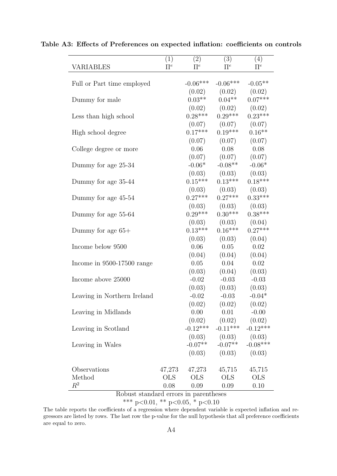| VARIABLES                   | (1)<br>$\Pi^e$ | (2)<br>$\Pi^e$ | (3)<br>$\Pi^e$             | (4)<br>$\Pi^e$ |
|-----------------------------|----------------|----------------|----------------------------|----------------|
| Full or Part time employed  |                | $-0.06***$     | $-0.06***$                 | $-0.05**$      |
|                             |                | (0.02)         | (0.02)                     | (0.02)         |
| Dummy for male              |                | $0.03**$       | $0.04**$                   | $0.07***$      |
|                             |                |                | $(0.02)$ $(0.02)$          | (0.02)         |
| Less than high school       |                | $0.28***$      | $0.29***$                  | $0.23***$      |
|                             |                |                | $(0.07)$ $(0.07)$          | (0.07)         |
| High school degree          |                | $0.17***$      | $0.19***$                  | $0.16**$       |
|                             |                | (0.07)         | (0.07)                     | (0.07)         |
| College degree or more      |                | 0.06           | 0.08                       | 0.08           |
|                             |                |                | $(0.07)$ $(0.07)$          | (0.07)         |
| Dummy for age 25-34         |                | $-0.06*$       | $-0.08**$                  | $-0.06*$       |
|                             |                | (0.03)         | (0.03)                     | (0.03)         |
| Dummy for age 35-44         |                | $0.15***$      | $0.13***$                  | $0.18***$      |
|                             |                |                | $(0.03)$ $(0.03)$          | (0.03)         |
| Dummy for age 45-54         |                | $0.27***$      | $0.27***$                  | $0.33***$      |
|                             |                |                | $(0.03)$ $(0.03)$          | (0.03)         |
| Dummy for age 55-64         |                | $0.29***$      | $0.30***$                  | $0.38***$      |
|                             |                | (0.03)         | (0.03)                     | (0.04)         |
| Dummy for age $65+$         |                | $0.13***$      | $0.16***$                  | $0.27***$      |
|                             |                | (0.03)         | (0.03)                     | (0.04)         |
| Income below 9500           |                | 0.06           | 0.05                       | 0.02           |
|                             |                | (0.04)         | (0.04)                     | (0.04)         |
| Income in 9500-17500 range  |                | 0.05           | 0.04                       | 0.02           |
|                             |                | (0.03)         | (0.04)                     | (0.03)         |
| Income above 25000          |                | $-0.02$        | $-0.03$                    | $-0.03$        |
|                             |                | (0.03)         | (0.03)                     | (0.03)         |
| Leaving in Northern Ireland |                | $-0.02$        | $-0.03$                    | $-0.04*$       |
|                             |                | (0.02)         | (0.02)                     | (0.02)         |
| Leaving in Midlands         |                | 0.00           | 0.01                       | $-0.00$        |
|                             |                |                | $(0.02)$ $(0.02)$ $(0.02)$ |                |
| Leaving in Scotland         |                | $-0.12***$     | $-0.11***$                 | $-0.12***$     |
|                             |                | (0.03)         | (0.03)                     | (0.03)         |
| Leaving in Wales            |                | $-0.07**$      | $-0.07**$                  | $-0.08***$     |
|                             |                | (0.03)         | (0.03)                     | (0.03)         |
| Observations                | 47,273         | 47,273         | 45,715                     | 45,715         |
| Method                      | <b>OLS</b>     | <b>OLS</b>     | <b>OLS</b>                 | <b>OLS</b>     |
| $\mathbb{R}^2$              | 0.08           | 0.09           | $0.09\,$                   | 0.10           |

<span id="page-45-0"></span>Table A3: Effects of Preferences on expected inflation: coefficients on controls

Robust standard errors in parentheses

\*\*\* p<0.01, \*\* p<0.05, \* p<0.10

The table reports the coefficients of a regression where dependent variable is expected inflation and regressors are listed by rows. The last row the p-value for the null hypothesis that all preference coefficients are equal to zero.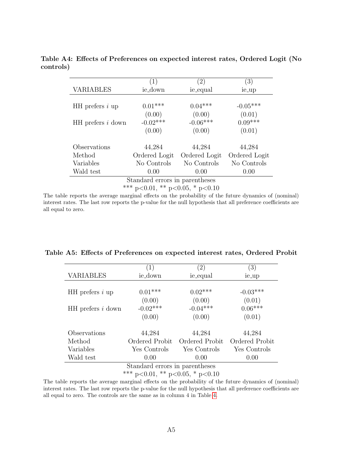|                                 | $\left( 1\right)$ | (2)           | $\left(3\right)$ |  |  |
|---------------------------------|-------------------|---------------|------------------|--|--|
| <b>VARIABLES</b>                | ie_down           | ie_equal      | ie_up            |  |  |
|                                 |                   |               |                  |  |  |
| $HH$ prefers i up               | $0.01***$         | $0.04***$     | $-0.05***$       |  |  |
|                                 | (0.00)            | (0.00)        | (0.01)           |  |  |
| HH prefers i down               | $-0.02***$        | $-0.06***$    | $0.09***$        |  |  |
|                                 | (0.00)            | (0.00)        | (0.01)           |  |  |
|                                 |                   |               |                  |  |  |
| Observations                    | 44,284            | 44,284        | 44,284           |  |  |
| Method                          | Ordered Logit     | Ordered Logit | Ordered Logit    |  |  |
| Variables                       | No Controls       | No Controls   | No Controls      |  |  |
| Wald test                       | 0.00              | 0.00          | 0.00             |  |  |
| Standard errors in parentheses  |                   |               |                  |  |  |
| *** p<0.01, ** p<0.05, * p<0.10 |                   |               |                  |  |  |

<span id="page-46-1"></span>Table A4: Effects of Preferences on expected interest rates, Ordered Logit (No controls)

The table reports the average marginal effects on the probability of the future dynamics of (nominal) interest rates. The last row reports the p-value for the null hypothesis that all preference coefficients are all equal to zero.

|                                | $\left(1\right)$ | (2)            | (3)            |  |  |
|--------------------------------|------------------|----------------|----------------|--|--|
| <b>VARIABLES</b>               | ie_down          | ie_equal       | ie_up          |  |  |
|                                |                  |                |                |  |  |
| HH prefers $i$ up              | $0.01***$        | $0.02***$      | $-0.03***$     |  |  |
|                                | (0.00)           | (0.00)         | (0.01)         |  |  |
| HH prefers i down              | $-0.02***$       | $-0.04***$     | $0.06***$      |  |  |
|                                | (0.00)           | (0.00)         | (0.01)         |  |  |
| Observations                   | 44,284           | 44,284         | 44,284         |  |  |
|                                |                  |                |                |  |  |
| Method                         | Ordered Probit   | Ordered Probit | Ordered Probit |  |  |
| Variables                      | Yes Controls     | Yes Controls   | Yes Controls   |  |  |
| Wald test                      | 0.00             | 0.00           | 0.00           |  |  |
| Standard errors in parentheses |                  |                |                |  |  |

<span id="page-46-0"></span>Table A5: Effects of Preferences on expected interest rates, Ordered Probit

\*\*\* p<0.01, \*\* p<0.05, \* p<0.10

The table reports the average marginal effects on the probability of the future dynamics of (nominal) interest rates. The last row reports the p-value for the null hypothesis that all preference coefficients are all equal to zero. The controls are the same as in column 4 in Table [4.](#page-20-0)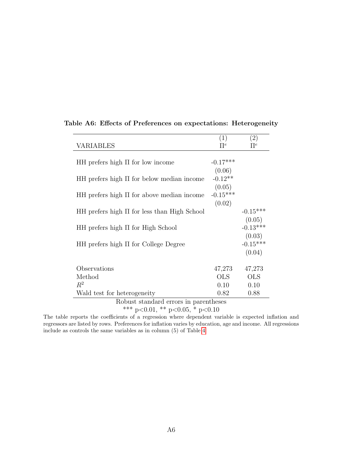|                                                   | (1)        | $\left( 2\right)$ |
|---------------------------------------------------|------------|-------------------|
| <b>VARIABLES</b>                                  | $\Pi^e$    | $\Pi^e$           |
|                                                   |            |                   |
| $HH$ prefers high $\Pi$ for low income            | $-0.17***$ |                   |
|                                                   | (0.06)     |                   |
| $HH$ prefers high $\Pi$ for below median income   | $-0.12**$  |                   |
|                                                   | (0.05)     |                   |
| $HH$ prefers high $\Pi$ for above median income   | $-0.15***$ |                   |
|                                                   | (0.02)     |                   |
| $HH$ prefers high $\Pi$ for less than High School |            | $-0.15***$        |
|                                                   |            | (0.05)            |
| $HH$ prefers high $\Pi$ for High School           |            | $-0.13***$        |
|                                                   |            | (0.03)            |
| $HH$ prefers high $\Pi$ for College Degree        |            | $-0.15***$        |
|                                                   |            | (0.04)            |
|                                                   |            |                   |
| Observations                                      | 47,273     | 47,273            |
| Method                                            | <b>OLS</b> | <b>OLS</b>        |
| $R^2$                                             | 0.10       | 0.10              |
| Wald test for heterogeneity                       | 0.82       | 0.88              |

### <span id="page-47-0"></span>Table A6: Effects of Preferences on expectations: Heterogeneity

Robust standard errors in parentheses

\*\*\* p<0.01, \*\* p<0.05, \* p<0.10

The table reports the coefficients of a regression where dependent variable is expected inflation and regressors are listed by rows. Preferences for inflation varies by education, age and income. All regressions include as controls the same variables as in column (5) of Table [4.](#page-20-0)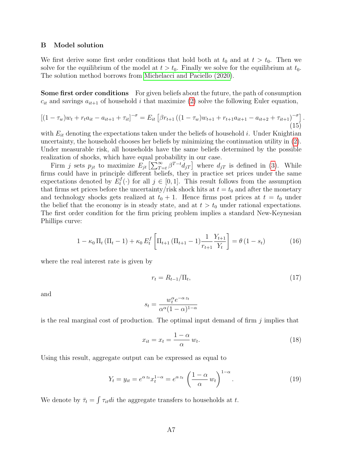#### <span id="page-48-0"></span>B Model solution

We first derive some first order conditions that hold both at  $t_0$  and at  $t > t_0$ . Then we solve for the equilibrium of the model at  $t > t_0$ . Finally we solve for the equilibrium at  $t_0$ . The solution method borrows from [Michelacci and Paciello \(2020\)](#page-41-8).

Some first order conditions For given beliefs about the future, the path of consumption  $c_{it}$  and savings  $a_{it+1}$  of household i that maximize [\(2\)](#page-6-1) solve the following Euler equation,

$$
\left[ (1 - \tau_w) w_t + r_t a_{it} - a_{it+1} + \tau_{it} \right]^{-\sigma} = E_{it} \left[ \beta r_{t+1} \left( (1 - \tau_w) w_{t+1} + r_{t+1} a_{it+1} - a_{it+2} + \tau_{it+1} \right)^{-\sigma} \right].
$$
\n(15)

with  $E_{it}$  denoting the expectations taken under the beliefs of household i. Under Knightian uncertainty, the household chooses her beliefs by minimizing the continuation utility in [\(2\)](#page-6-1). Under measurable risk, all households have the same beliefs determined by the possible realization of shocks, which have equal probability in our case.

Firm j sets  $p_{jt}$  to maximize  $E_{jt} \left[ \sum_{T=t}^{\infty} \beta^{T-t} d_{jT} \right]$  where  $d_{jT}$  is defined in [\(3\)](#page-7-2). While firms could have in principle different beliefs, they in practice set prices under the same expectations denoted by  $E_t^f$  $t_i^{\prime}(\cdot)$  for all  $j \in [0,1]$ . This result follows from the assumption that firms set prices before the uncertainty/risk shock hits at  $t = t_0$  and after the monetary and technology shocks gets realized at  $t_0 + 1$ . Hence firms post prices at  $t = t_0$  under the belief that the economy is in steady state, and at  $t > t_0$  under rational expectations. The first order condition for the firm pricing problem implies a standard New-Keynesian Phillips curve:

<span id="page-48-2"></span>
$$
1 - \kappa_0 \Pi_t (\Pi_t - 1) + \kappa_0 E_t^f \left[ \Pi_{t+1} (\Pi_{t+1} - 1) \frac{1}{r_{t+1}} \frac{Y_{t+1}}{Y_t} \right] = \theta (1 - s_t)
$$
 (16)

where the real interest rate is given by

<span id="page-48-3"></span><span id="page-48-1"></span>
$$
r_t = R_{t-1}/\Pi_t,\tag{17}
$$

and

$$
s_t = \frac{w_t^{\alpha} e^{-\alpha z_t}}{\alpha^{\alpha} (1-\alpha)^{1-\alpha}}
$$

is the real marginal cost of production. The optimal input demand of firm  $j$  implies that

<span id="page-48-4"></span>
$$
x_{it} = x_t = \frac{1 - \alpha}{\alpha} w_t.
$$
\n(18)

Using this result, aggregate output can be expressed as equal to

$$
Y_t = y_{it} = e^{\alpha z_t} x_t^{1-\alpha} = e^{\alpha z_t} \left( \frac{1-\alpha}{\alpha} w_t \right)^{1-\alpha}.
$$
 (19)

We denote by  $\bar{\tau}_t = \int \tau_{it}di$  the aggregate transfers to households at t.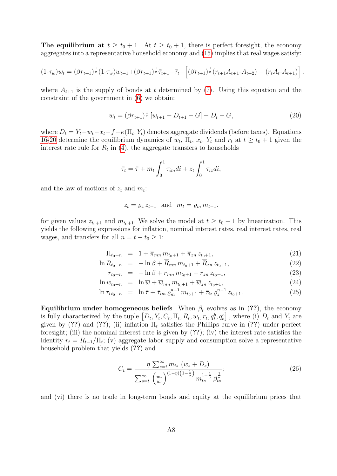The equilibrium at  $t \geq t_0 + 1$  At  $t \geq t_0 + 1$ , there is perfect foresight, the economy aggregates into a representative household economy and [\(15\)](#page-48-1) implies that real wages satisfy:

$$
(1-\tau_w)w_t = (\beta r_{t+1})^{\frac{1}{\sigma}} (1-\tau_w)w_{t+1} + (\beta r_{t+1})^{\frac{1}{\sigma}} \bar{\tau}_{t+1} - \bar{\tau}_t + \left[ (\beta r_{t+1})^{\frac{1}{\sigma}} (r_{t+1}A_{t+1} - A_{t+2}) - (r_t A_t - A_{t+1}) \right],
$$

where  $A_{t+1}$  is the supply of bonds at t determined by [\(7\)](#page-8-0). Using this equation and the constraint of the government in [\(6\)](#page-7-3) we obtain:

<span id="page-49-0"></span>
$$
w_t = (\beta r_{t+1})^{\frac{1}{\sigma}} \left[ w_{t+1} + D_{t+1} - G \right] - D_t - G, \tag{20}
$$

where  $D_t = Y_t - w_t - x_t - f - \kappa(\Pi_t, Y_t)$  denotes aggregate dividends (before taxes). Equations [16-](#page-48-2)[20](#page-49-0) determine the equilibrium dynamics of  $w_t$ ,  $\Pi_t$ ,  $x_t$ ,  $Y_t$  and  $r_t$  at  $t \ge t_0 + 1$  given the interest rate rule for  $R_t$  in [\(4\)](#page-7-0), the aggregate transfers to households

$$
\bar{\tau}_t = \bar{\tau} + m_t \int_0^1 \tau_{im} di + z_t \int_0^1 \tau_{iz} di,
$$

and the law of motions of  $z_t$  and  $m_t$ :

$$
z_t = \varrho_z z_{t-1} \quad \text{and} \quad m_t = \varrho_m m_{t-1}.
$$

for given values  $z_{t_0+1}$  and  $m_{t_0+1}$ . We solve the model at  $t \ge t_0 + 1$  by linearization. This yields the following expressions for inflation, nominal interest rates, real interest rates, real wages, and transfers for all  $n = t - t_0 \geq 1$ :

$$
\Pi_{t_0+n} = 1 + \overline{\pi}_{mn} m_{t_0+1} + \overline{\pi}_{zn} z_{t_0+1}, \tag{21}
$$

$$
\ln R_{t_0+n} = -\ln \beta + \overline{R}_{mn} \, m_{t_0+1} + \overline{R}_{zn} \, z_{t_0+1}, \tag{22}
$$

$$
r_{t_0+n} = -\ln\beta + \overline{r}_{mn} \, m_{t_0+1} + \overline{r}_{zn} \, z_{t_0+1},\tag{23}
$$

$$
\ln w_{t_0+n} = \ln \overline{w} + \overline{w}_{mn} m_{t_0+1} + \overline{w}_{zn} z_{t_0+1}, \tag{24}
$$

$$
\ln \tau_{i\,t_0+n} = \ln \bar{\tau} + \bar{\tau}_{im} \, \varrho_m^{n-1} \, m_{t_0+1} + \bar{\tau}_{iz} \, \varrho_z^{n-1} \, z_{t_0+1}.
$$
 (25)

Equilibrium under homogeneous beliefs When  $\beta_t$  evolves as in (??), the economy is fully characterized by the tuple  $[D_t, Y_t, C_t, \Pi_t, R_t, w_t, r_t, q_t^b, q_t^e]$ , where (i)  $D_t$  and  $Y_t$  are given by (??) and (??); (ii) inflation  $\Pi_t$  satisfies the Phillips curve in (??) under perfect foresight; (iii) the nominal interest rate is given by  $(??)$ ; (iv) the interest rate satisfies the identity  $r_t = R_{t-1}/\Pi_t$ ; (v) aggregate labor supply and consumption solve a representative household problem that yields (??) and

$$
C_t = \frac{\eta \sum_{s=t}^{\infty} m_{ts} (w_s + D_s)}{\sum_{s=t}^{\infty} \left(\frac{w_s}{w_t}\right)^{(1-\eta)\left(1-\frac{1}{\sigma}\right)} m_{ts}^{1-\frac{1}{\sigma}} \beta_{ts}^{\frac{1}{\sigma}}};
$$
\n(26)

and (vi) there is no trade in long-term bonds and equity at the equilibrium prices that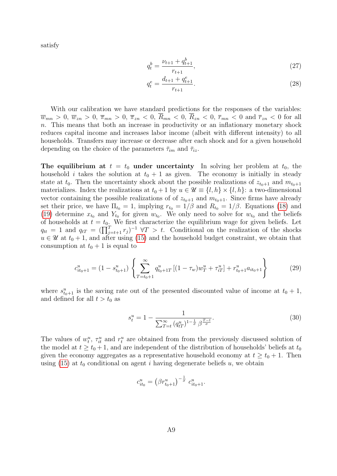satisfy

$$
q_t^b = \frac{\nu_{t+1} + q_{t+1}^b}{r_{t+1}},\tag{27}
$$

$$
q_t^e = \frac{d_{t+1} + q_{t+1}^e}{r_{t+1}}.\tag{28}
$$

With our calibration we have standard predictions for the responses of the variables:  $\overline{w}_{mn} > 0$ ,  $\overline{w}_{zn} > 0$ ,  $\overline{\pi}_{mn} > 0$ ,  $\overline{\pi}_{zn} < 0$ ,  $\overline{R}_{mn} < 0$ ,  $\overline{R}_{zn} < 0$ ,  $\overline{r}_{mn} < 0$  and  $\overline{r}_{zn} < 0$  for all n. This means that both an increase in productivity or an inflationary monetary shock reduces capital income and increases labor income (albeit with different intensity) to all households. Transfers may increase or decrease after each shock and for a given household depending on the choice of the parameters  $\bar{\tau}_{im}$  and  $\bar{\tau}_{iz}$ .

The equilibrium at  $t = t_0$  under uncertainty In solving her problem at  $t_0$ , the household *i* takes the solution at  $t_0 + 1$  as given. The economy is initially in steady state at  $t_0$ . Then the uncertainty shock about the possible realizations of  $z_{t_0+1}$  and  $m_{t_0+1}$ materializes. Index the realizations at  $t_0 + 1$  by  $u \in \mathcal{U} \equiv \{l, h\} \times \{l, h\}$ : a two-dimensional vector containing the possible realizations of of  $z_{t_0+1}$  and  $m_{t_0+1}$ . Since firms have already set their price, we have  $\Pi_{t_0} = 1$ , implying  $r_{t_0} = 1/\beta$  and  $R_{t_0} = 1/\beta$ . Equations [\(18\)](#page-48-3) and [\(19\)](#page-48-4) determine  $x_{t_0}$  and  $Y_{t_0}$  for given  $w_{t_0}$ . We only need to solve for  $w_{t_0}$  and the beliefs of households at  $t = t_{0}$ . We first characterize the equilibrium wage for given beliefs. Let  $q_{tt} = 1$  and  $q_{tT} = (\prod_{j=t+1}^{T} r_j)^{-1} \ \forall T > t$ . Conditional on the realization of the shocks  $u \in \mathcal{U}$  at  $t_0 + 1$ , and after using [\(15\)](#page-48-1) and the household budget constraint, we obtain that consumption at  $t_0 + 1$  is equal to

<span id="page-50-0"></span>
$$
c_{it_0+1}^u = (1 - s_{t_0+1}^u) \left\{ \sum_{T=t_0+1}^{\infty} q_{t_0+1T}^u \left[ (1 - \tau_w) w_T^u + \tau_{iT}^u \right] + r_{t_0+1}^u a_{it_0+1} \right\}
$$
(29)

where  $s_{t_0+1}^u$  is the saving rate out of the presented discounted value of income at  $t_0 + 1$ , and defined for all  $t > t_0$  as

$$
s_t^u = 1 - \frac{1}{\sum_{T=t}^{\infty} (q_{tT}^u)^{1 - \frac{1}{\sigma}} \beta^{\frac{T-t}{\sigma}}}.
$$
\n(30)

The values of  $w_t^u$ ,  $\tau_{it}^u$  and  $r_t^u$  are obtained from from the previously discussed solution of the model at  $t \geq t_0 + 1$ , and are independent of the distribution of households' beliefs at  $t_0$ given the economy aggregates as a representative household economy at  $t \geq t_0 + 1$ . Then using [\(15\)](#page-48-1) at  $t_0$  conditional on agent i having degenerate beliefs u, we obtain

$$
c_{it_0}^u = \left(\beta r_{t_0+1}^u\right)^{-\frac{1}{\sigma}} c_{it_0+1}^u.
$$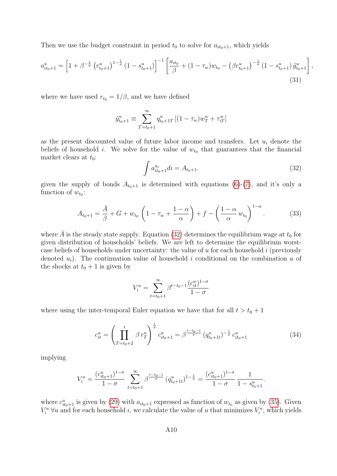Then we use the budget constraint in period  $t_0$  to solve for  $a_{it_0+1}$ , which yields

$$
a_{it_0+1}^u = \left[1 + \beta^{-\frac{1}{\sigma}} \left(r_{t_0+1}^u\right)^{1-\frac{1}{\sigma}} \left(1 - s_{t_0+1}^u\right)\right]^{-1} \left[\frac{a_{it_0}}{\beta} + (1 - \tau_w)w_{t_0} - \left(\beta r_{t_0+1}^u\right)^{-\frac{1}{\sigma}} \left(1 - s_{t_0+1}^u\right) \tilde{y}_{t_0+1}^u\right],\tag{31}
$$

where we have used  $r_{t_0} = 1/\beta$ , and we have defined

<span id="page-51-0"></span>
$$
\tilde{y}_{t_0+1}^u \equiv \sum_{T=t_0+1}^{\infty} q_{t_0+1T}^u \left[ (1-\tau_w) w_T^u + \tau_{iT}^u \right]
$$

as the present discounted value of future labor income and transfers. Let  $u_i$  denote the beliefs of household i. We solve for the value of  $w_{t_0}$  that guarantees that the financial market clears at  $t_0$ :

$$
\int a_{it_0+1}^{u_i} di = A_{t_0+1}.
$$
\n(32)

given the supply of bonds  $A_{t_0+1}$  is determined with equations [\(6\)](#page-7-3)-[\(7\)](#page-8-0), and it's only a function of  $w_{t_0}$ :

<span id="page-51-1"></span>
$$
A_{t_0+1} = \frac{\bar{A}}{\beta} + G + w_{t_0} \left( 1 - \tau_w + \frac{1-\alpha}{\alpha} \right) + f - \left( \frac{1-\alpha}{\alpha} w_{t_0} \right)^{1-\alpha}.
$$
 (33)

where  $\overline{A}$  is the steady state supply. Equation [\(32\)](#page-51-0) determines the equilibrium wage at  $t_0$  for given distribution of households' beliefs. We are left to determine the equilibrium worstcase beliefs of households under uncertainty: the value of u for each household i (previously denoted  $u_i$ ). The continuation value of household i conditional on the combination u of the shocks at  $t_0 + 1$  is given by

$$
V_i^u = \sum_{t=t_0+1}^{\infty} \beta^{t-t_0-1} \frac{(c_{it}^u)^{1-\sigma}}{1-\sigma}
$$

where using the inter-temporal Euler equation we have that for all  $t > t_0 + 1$ 

$$
c_{it}^{u} = \left(\prod_{T=t_0+2}^{t} \beta r_T^{u}\right)^{\frac{1}{\sigma}} c_{it_0+1}^{u} = \beta^{\frac{t-t_0-1}{\sigma}} (q_{t_0+1}^{u})^{-\frac{1}{\sigma}} c_{it_0+1}^{u}
$$
(34)

implying

$$
V_i^u = \frac{(c_{it_0+1}^u)^{1-\sigma}}{1-\sigma} \sum_{t=t_0+1}^{\infty} \beta^{\frac{t-t_0-1}{\sigma}} (q_{t_0+1}^u)^{1-\frac{1}{\sigma}} = \frac{(c_{it_0+1}^u)^{1-\sigma}}{1-\sigma} \frac{1}{1-s_{t_0+1}^u}.
$$

where  $c_{it_0+1}^u$  is given by [\(29\)](#page-50-0) with  $a_{it_0+1}$  expressed as function of  $w_{t_0}$  as given by [\(35\)](#page-52-1). Given  $V_i^u$   $\forall u$  and for each household i, we calculate the value of u that minimizes  $V_i^u$ , which yields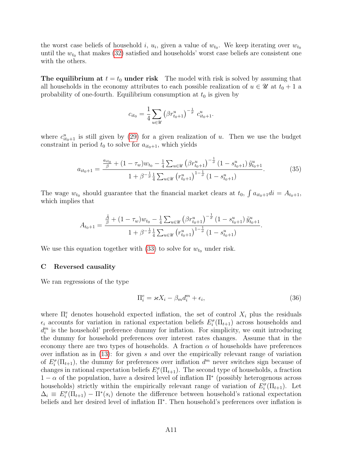the worst case beliefs of household i,  $u_i$ , given a value of  $w_{t_0}$ . We keep iterating over  $w_{t_0}$ until the  $w_{t_0}$  that makes [\(32\)](#page-51-0) satisfied and households' worst case beliefs are consistent one with the others.

**The equilibrium at**  $t = t_0$  **under risk** The model with risk is solved by assuming that all households in the economy attributes to each possible realization of  $u \in \mathcal{U}$  at  $t_0 + 1$  a probability of one-fourth. Equilibrium consumption at  $t_0$  is given by

<span id="page-52-1"></span>
$$
c_{it_0} = \frac{1}{4} \sum_{u \in \mathcal{U}} \left( \beta r_{t_0+1}^u \right)^{-\frac{1}{\sigma}} c_{it_0+1}^u.
$$

where  $c_{it_0+1}^u$  is still given by [\(29\)](#page-50-0) for a given realization of u. Then we use the budget constraint in period  $t_0$  to solve for  $a_{it_0+1}$ , which yields

$$
a_{it_0+1} = \frac{\frac{a_{it_0}}{\beta} + (1 - \tau_w)w_{t_0} - \frac{1}{4}\sum_{u \in \mathcal{U}} \left(\beta r_{t_0+1}^u\right)^{-\frac{1}{\sigma}} (1 - s_{t_0+1}^u) \tilde{y}_{t_0+1}^u}{1 + \beta^{-\frac{1}{\sigma}} \frac{1}{4}\sum_{u \in \mathcal{U}} \left(r_{t_0+1}^u\right)^{1-\frac{1}{\sigma}} (1 - s_{t_0+1}^u)}.
$$
(35)

The wage  $w_{t_0}$  should guarantee that the financial market clears at  $t_0$ ,  $\int a_{it_0+1}di = A_{t_0+1}$ , which implies that

$$
A_{t_0+1} = \frac{\frac{\bar{A}}{\beta} + (1 - \tau_w)w_{t_0} - \frac{1}{4}\sum_{u \in \mathcal{U}} (\beta r_{t_0+1}^u)^{-\frac{1}{\sigma}} (1 - s_{t_0+1}^u) \tilde{y}_{t_0+1}^u}{1 + \beta^{-\frac{1}{\sigma}} \frac{1}{4}\sum_{u \in \mathcal{U}} (r_{t_0+1}^u)^{1-\frac{1}{\sigma}} (1 - s_{t_0+1}^u)}.
$$

We use this equation together with [\(33\)](#page-51-1) to solve for  $w_{t_0}$  under risk.

#### <span id="page-52-0"></span>C Reversed causality

We ran regressions of the type

<span id="page-52-2"></span>
$$
\Pi_i^e = \varkappa X_i - \beta_m d_i^m + \epsilon_i,\tag{36}
$$

where  $\Pi_i^e$  denotes household expected inflation, the set of control  $X_i$  plus the residuals  $\epsilon_i$  accounts for variation in rational expectation beliefs  $E_i^{\sigma}(\Pi_{t+1})$  across households and  $d_i^m$  is the household' preference dummy for inflation. For simplicity, we omit introducing the dummy for household preferences over interest rates changes. Assume that in the economy there are two types of households. A fraction  $\alpha$  of households have preferences over inflation as in [\(13\)](#page-25-2): for given s and over the empirically relevant range of variation of  $E_i^{\sigma}(\Pi_{t+1})$ , the dummy for preferences over inflation  $d^m$  never switches sign because of changes in rational expectation beliefs  $E_i^{\sigma}(\Pi_{t+1})$ . The second type of households, a fraction  $1 - \alpha$  of the population, have a desired level of inflation  $\Pi^*$  (possibly heterogenous across households) strictly within the empirically relevant range of variation of  $E_i^{\sigma}(\Pi_{t+1})$ . Let  $\Delta_i \equiv E_i^{\sigma}(\Pi_{t+1}) - \Pi^*(s_i)$  denote the difference between household's rational expectation beliefs and her desired level of inflation Π<sup>∗</sup> . Then household's preferences over inflation is